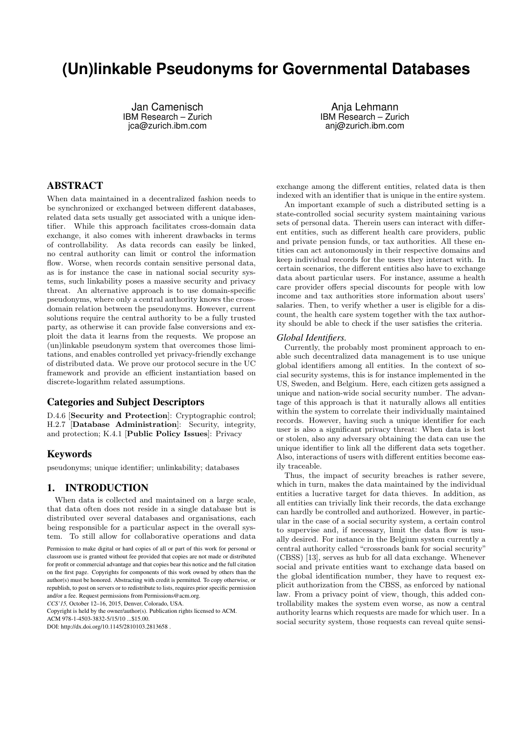# **(Un)linkable Pseudonyms for Governmental Databases**

Jan Camenisch IBM Research – Zurich jca@zurich.ibm.com

Anja Lehmann IBM Research – Zurich anj@zurich.ibm.com

# ABSTRACT

When data maintained in a decentralized fashion needs to be synchronized or exchanged between different databases, related data sets usually get associated with a unique identifier. While this approach facilitates cross-domain data exchange, it also comes with inherent drawbacks in terms of controllability. As data records can easily be linked, no central authority can limit or control the information flow. Worse, when records contain sensitive personal data, as is for instance the case in national social security systems, such linkability poses a massive security and privacy threat. An alternative approach is to use domain-specific pseudonyms, where only a central authority knows the crossdomain relation between the pseudonyms. However, current solutions require the central authority to be a fully trusted party, as otherwise it can provide false conversions and exploit the data it learns from the requests. We propose an (un)linkable pseudonym system that overcomes those limitations, and enables controlled yet privacy-friendly exchange of distributed data. We prove our protocol secure in the UC framework and provide an efficient instantiation based on discrete-logarithm related assumptions.

# Categories and Subject Descriptors

D.4.6 [Security and Protection]: Cryptographic control; H.2.7 [Database Administration]: Security, integrity, and protection; K.4.1 [Public Policy Issues]: Privacy

# Keywords

pseudonyms; unique identifier; unlinkability; databases

# 1. INTRODUCTION

When data is collected and maintained on a large scale, that data often does not reside in a single database but is distributed over several databases and organisations, each being responsible for a particular aspect in the overall system. To still allow for collaborative operations and data

*CCS'15,* October 12–16, 2015, Denver, Colorado, USA.

Copyright is held by the owner/author(s). Publication rights licensed to ACM.

ACM 978-1-4503-3832-5/15/10 \$15.00

DOI: http://dx.doi.org/10.1145/2810103.2813658 .

exchange among the different entities, related data is then indexed with an identifier that is unique in the entire system.

An important example of such a distributed setting is a state-controlled social security system maintaining various sets of personal data. Therein users can interact with different entities, such as different health care providers, public and private pension funds, or tax authorities. All these entities can act autonomously in their respective domains and keep individual records for the users they interact with. In certain scenarios, the different entities also have to exchange data about particular users. For instance, assume a health care provider offers special discounts for people with low income and tax authorities store information about users' salaries. Then, to verify whether a user is eligible for a discount, the health care system together with the tax authority should be able to check if the user satisfies the criteria.

#### *Global Identifiers.*

Currently, the probably most prominent approach to enable such decentralized data management is to use unique global identifiers among all entities. In the context of social security systems, this is for instance implemented in the US, Sweden, and Belgium. Here, each citizen gets assigned a unique and nation-wide social security number. The advantage of this approach is that it naturally allows all entities within the system to correlate their individually maintained records. However, having such a unique identifier for each user is also a significant privacy threat: When data is lost or stolen, also any adversary obtaining the data can use the unique identifier to link all the different data sets together. Also, interactions of users with different entities become easily traceable.

Thus, the impact of security breaches is rather severe, which in turn, makes the data maintained by the individual entities a lucrative target for data thieves. In addition, as all entities can trivially link their records, the data exchange can hardly be controlled and authorized. However, in particular in the case of a social security system, a certain control to supervise and, if necessary, limit the data flow is usually desired. For instance in the Belgium system currently a central authority called "crossroads bank for social security" (CBSS) [13], serves as hub for all data exchange. Whenever social and private entities want to exchange data based on the global identification number, they have to request explicit authorization from the CBSS, as enforced by national law. From a privacy point of view, though, this added controllability makes the system even worse, as now a central authority learns which requests are made for which user. In a social security system, those requests can reveal quite sensi-

Permission to make digital or hard copies of all or part of this work for personal or classroom use is granted without fee provided that copies are not made or distributed for profit or commercial advantage and that copies bear this notice and the full citation on the first page. Copyrights for components of this work owned by others than the author(s) must be honored. Abstracting with credit is permitted. To copy otherwise, or republish, to post on servers or to redistribute to lists, requires prior specific permission and/or a fee. Request permissions from Permissions@acm.org.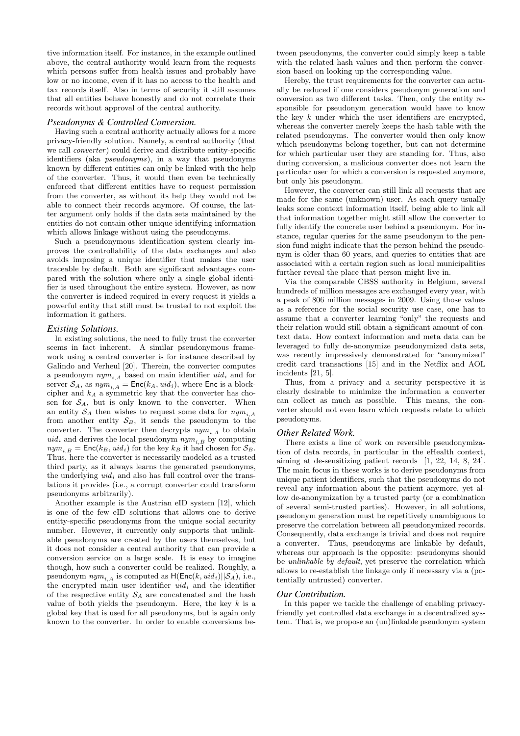tive information itself. For instance, in the example outlined above, the central authority would learn from the requests which persons suffer from health issues and probably have low or no income, even if it has no access to the health and tax records itself. Also in terms of security it still assumes that all entities behave honestly and do not correlate their records without approval of the central authority.

## *Pseudonyms & Controlled Conversion.*

Having such a central authority actually allows for a more privacy-friendly solution. Namely, a central authority (that we call *converter*) could derive and distribute entity-specific identifiers (aka pseudonyms), in a way that pseudonyms known by different entities can only be linked with the help of the converter. Thus, it would then even be technically enforced that different entities have to request permission from the converter, as without its help they would not be able to connect their records anymore. Of course, the latter argument only holds if the data sets maintained by the entities do not contain other unique identifying information which allows linkage without using the pseudonyms.

Such a pseudonymous identification system clearly improves the controllability of the data exchanges and also avoids imposing a unique identifier that makes the user traceable by default. Both are significant advantages compared with the solution where only a single global identifier is used throughout the entire system. However, as now the converter is indeed required in every request it yields a powerful entity that still must be trusted to not exploit the information it gathers.

## *Existing Solutions.*

In existing solutions, the need to fully trust the converter seems in fact inherent. A similar pseudonymous framework using a central converter is for instance described by Galindo and Verheul [20]. Therein, the converter computes a pseudonym  $nym_{i,A}$  based on main identifier  $uid_i$  and for server  $S_A$ , as  $nym_{i,A} = \text{Enc}(k_A, uid_i)$ , where Enc is a blockcipher and  $k_A$  a symmetric key that the converter has chosen for  $S_A$ , but is only known to the converter. When an entity  $S_A$  then wishes to request some data for  $nym_{i,A}$ from another entity  $S_B$ , it sends the pseudonym to the converter. The converter then decrypts  $nym<sub>i,A</sub>$  to obtain  $uid_i$  and derives the local pseudonym  $nym_{i,B}$  by computing  $nym_{i,B} = \textsf{Enc}(k_B, uid_i)$  for the key  $k_B$  it had chosen for  $S_B$ . Thus, here the converter is necessarily modeled as a trusted third party, as it always learns the generated pseudonyms, the underlying  $uid_i$  and also has full control over the translations it provides (i.e., a corrupt converter could transform pseudonyms arbitrarily).

Another example is the Austrian eID system [12], which is one of the few eID solutions that allows one to derive entity-specific pseudonyms from the unique social security number. However, it currently only supports that unlinkable pseudonyms are created by the users themselves, but it does not consider a central authority that can provide a conversion service on a large scale. It is easy to imagine though, how such a converter could be realized. Roughly, a pseudonym  $nym_{i,A}$  is computed as  $H(\mathsf{Enc}(k, \mathit{uid}_i)||\mathcal{S}_A)$ , i.e., the encrypted main user identifier  $uid_i$  and the identifier of the respective entity  $S_A$  are concatenated and the hash value of both yields the pseudonym. Here, the key  $k$  is a global key that is used for all pseudonyms, but is again only known to the converter. In order to enable conversions be-

tween pseudonyms, the converter could simply keep a table with the related hash values and then perform the conversion based on looking up the corresponding value.

Hereby, the trust requirements for the converter can actually be reduced if one considers pseudonym generation and conversion as two different tasks. Then, only the entity responsible for pseudonym generation would have to know the key  $k$  under which the user identifiers are encrypted, whereas the converter merely keeps the hash table with the related pseudonyms. The converter would then only know which pseudonyms belong together, but can not determine for which particular user they are standing for. Thus, also during conversion, a malicious converter does not learn the particular user for which a conversion is requested anymore, but only his pseudonym.

However, the converter can still link all requests that are made for the same (unknown) user. As each query usually leaks some context information itself, being able to link all that information together might still allow the converter to fully identify the concrete user behind a pseudonym. For instance, regular queries for the same pseudonym to the pension fund might indicate that the person behind the pseudonym is older than 60 years, and queries to entities that are associated with a certain region such as local municipalities further reveal the place that person might live in.

Via the comparable CBSS authority in Belgium, several hundreds of million messages are exchanged every year, with a peak of 806 million messages in 2009. Using those values as a reference for the social security use case, one has to assume that a converter learning "only" the requests and their relation would still obtain a significant amount of context data. How context information and meta data can be leveraged to fully de-anonymize pseudonymized data sets, was recently impressively demonstrated for "anonymized" credit card transactions [15] and in the Netflix and AOL incidents [21, 5].

Thus, from a privacy and a security perspective it is clearly desirable to minimize the information a converter can collect as much as possible. This means, the converter should not even learn which requests relate to which pseudonyms.

#### *Other Related Work.*

There exists a line of work on reversible pseudonymization of data records, in particular in the eHealth context, aiming at de-sensitizing patient records [1, 22, 14, 8, 24]. The main focus in these works is to derive pseudonyms from unique patient identifiers, such that the pseudonyms do not reveal any information about the patient anymore, yet allow de-anonymization by a trusted party (or a combination of several semi-trusted parties). However, in all solutions, pseudonym generation must be repetitively unambiguous to preserve the correlation between all pseudonymized records. Consequently, data exchange is trivial and does not require a converter. Thus, pseudonyms are linkable by default, whereas our approach is the opposite: pseudonyms should be unlinkable by default, yet preserve the correlation which allows to re-establish the linkage only if necessary via a (potentially untrusted) converter.

#### *Our Contribution.*

In this paper we tackle the challenge of enabling privacyfriendly yet controlled data exchange in a decentralized system. That is, we propose an (un)linkable pseudonym system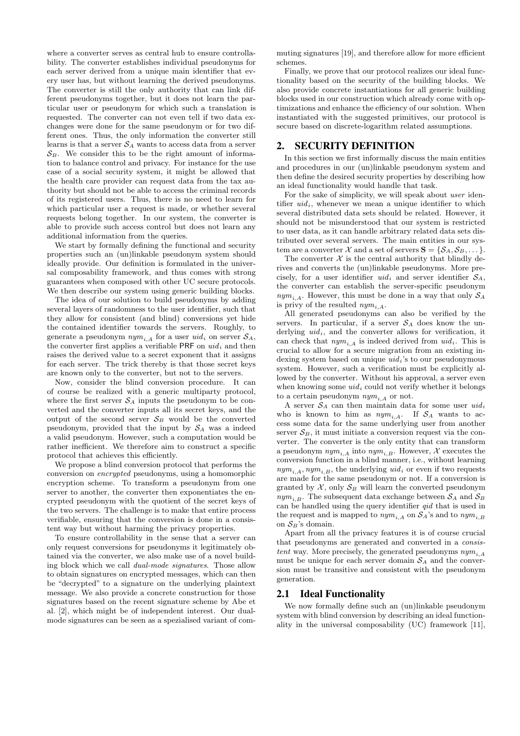where a converter serves as central hub to ensure controllability. The converter establishes individual pseudonyms for each server derived from a unique main identifier that every user has, but without learning the derived pseudonyms. The converter is still the only authority that can link different pseudonyms together, but it does not learn the particular user or pseudonym for which such a translation is requested. The converter can not even tell if two data exchanges were done for the same pseudonym or for two different ones. Thus, the only information the converter still learns is that a server  $S_A$  wants to access data from a server  $S_B$ . We consider this to be the right amount of information to balance control and privacy. For instance for the use case of a social security system, it might be allowed that the health care provider can request data from the tax authority but should not be able to access the criminal records of its registered users. Thus, there is no need to learn for which particular user a request is made, or whether several requests belong together. In our system, the converter is able to provide such access control but does not learn any additional information from the queries.

We start by formally defining the functional and security properties such an (un)linkable pseudonym system should ideally provide. Our definition is formulated in the universal composability framework, and thus comes with strong guarantees when composed with other UC secure protocols. We then describe our system using generic building blocks.

The idea of our solution to build pseudonyms by adding several layers of randomness to the user identifier, such that they allow for consistent (and blind) conversions yet hide the contained identifier towards the servers. Roughly, to generate a pseudonym  $\eta_{i,A}$  for a user  $uid_i$  on server  $\mathcal{S}_A$ , the converter first applies a verifiable PRF on  $uid_i$  and then raises the derived value to a secret exponent that it assigns for each server. The trick thereby is that those secret keys are known only to the converter, but not to the servers.

Now, consider the blind conversion procedure. It can of course be realized with a generic multiparty protocol, where the first server  $S_A$  inputs the pseudonym to be converted and the converter inputs all its secret keys, and the output of the second server  $S_B$  would be the converted pseudonym, provided that the input by  $S_A$  was a indeed a valid pseudonym. However, such a computation would be rather inefficient. We therefore aim to construct a specific protocol that achieves this efficiently.

We propose a blind conversion protocol that performs the conversion on encrypted pseudonyms, using a homomorphic encryption scheme. To transform a pseudonym from one server to another, the converter then exponentiates the encrypted pseudonym with the quotient of the secret keys of the two servers. The challenge is to make that entire process verifiable, ensuring that the conversion is done in a consistent way but without harming the privacy properties.

To ensure controllability in the sense that a server can only request conversions for pseudonyms it legitimately obtained via the converter, we also make use of a novel building block which we call dual-mode signatures. Those allow to obtain signatures on encrypted messages, which can then be "decrypted" to a signature on the underlying plaintext message. We also provide a concrete construction for those signatures based on the recent signature scheme by Abe et al. [2], which might be of independent interest. Our dualmode signatures can be seen as a spezialised variant of commuting signatures [19], and therefore allow for more efficient schemes.

Finally, we prove that our protocol realizes our ideal functionality based on the security of the building blocks. We also provide concrete instantiations for all generic building blocks used in our construction which already come with optimizations and enhance the efficiency of our solution. When instantiated with the suggested primitives, our protocol is secure based on discrete-logarithm related assumptions.

# 2. SECURITY DEFINITION

In this section we first informally discuss the main entities and procedures in our (un)linkable pseudonym system and then define the desired security properties by describing how an ideal functionality would handle that task.

For the sake of simplicity, we will speak about user identifier  $uid_i$ , whenever we mean a unique identifier to which several distributed data sets should be related. However, it should not be misunderstood that our system is restricted to user data, as it can handle arbitrary related data sets distributed over several servers. The main entities in our system are a converter X and a set of servers  $S = \{S_A, S_B, \dots\}$ .

The converter  $\mathcal X$  is the central authority that blindly derives and converts the (un)linkable pseudonyms. More precisely, for a user identifier  $uid_i$  and server identifier  $S_A$ , the converter can establish the server-specific pseudonym  $nym_{i,A}$ . However, this must be done in a way that only  $S_A$ is privy of the resulted  $nym_{i,A}$ .

All generated pseudonyms can also be verified by the servers. In particular, if a server  $S_A$  does know the underlying  $uid_i$ , and the converter allows for verification, it can check that  $nym_{i,A}$  is indeed derived from  $uid_i$ . This is crucial to allow for a secure migration from an existing indexing system based on unique  $uid_i$ 's to our pseudonymous system. However, such a verification must be explicitly allowed by the converter. Without his approval, a server even when knowing some  $uid_i$  could not verify whether it belongs to a certain pseudonym  $\eta y m_{i,A}$  or not.

A server  $S_A$  can then maintain data for some user  $uid_i$ who is known to him as  $nym_{i,A}$ . If  $S_A$  wants to access some data for the same underlying user from another server  $S_B$ , it must initiate a conversion request via the converter. The converter is the only entity that can transform a pseudonym  $\eta y m_{i,A}$  into  $\eta y m_{i,B}$ . However, X executes the conversion function in a blind manner, i.e., without learning  $nym_{i,A}$ ,  $nym_{i,B}$ , the underlying uid<sub>i</sub> or even if two requests are made for the same pseudonym or not. If a conversion is granted by  $\mathcal{X}$ , only  $\mathcal{S}_B$  will learn the converted pseudonym  $nym_{i,B}$ . The subsequent data exchange between  $S_A$  and  $S_B$ can be handled using the query identifier qid that is used in the request and is mapped to  $\eta_{i,A}$  on  $\mathcal{S}_A$ 's and to  $\eta_{i,B}$ on  $S_B$ 's domain.

Apart from all the privacy features it is of course crucial that pseudonyms are generated and converted in a consistent way. More precisely, the generated pseudonyms  $nym<sub>i</sub>$ must be unique for each server domain  $S_A$  and the conversion must be transitive and consistent with the pseudonym generation.

# 2.1 Ideal Functionality

We now formally define such an (un)linkable pseudonym system with blind conversion by describing an ideal functionality in the universal composability (UC) framework [11],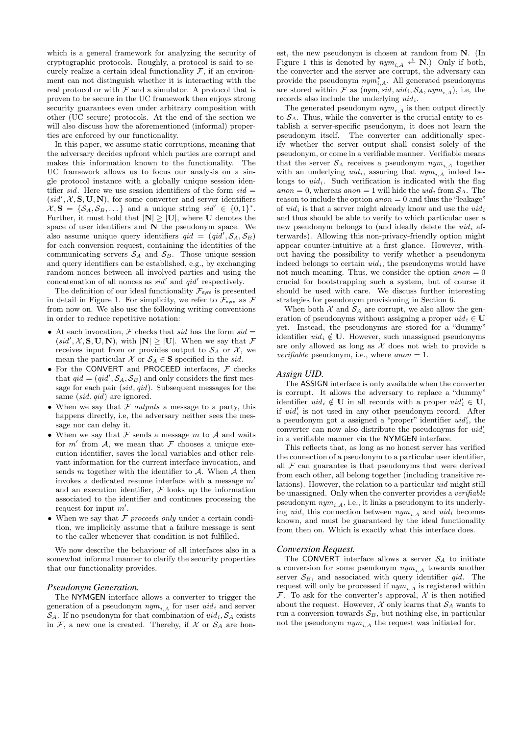which is a general framework for analyzing the security of cryptographic protocols. Roughly, a protocol is said to securely realize a certain ideal functionality  $\mathcal{F}$ , if an environment can not distinguish whether it is interacting with the real protocol or with  $\mathcal F$  and a simulator. A protocol that is proven to be secure in the UC framework then enjoys strong security guarantees even under arbitrary composition with other (UC secure) protocols. At the end of the section we will also discuss how the aforementioned (informal) properties are enforced by our functionality.

In this paper, we assume static corruptions, meaning that the adversary decides upfront which parties are corrupt and makes this information known to the functionality. The UC framework allows us to focus our analysis on a single protocol instance with a globally unique session identifier sid. Here we use session identifiers of the form  $sid =$  $(sid', X, S, U, N)$ , for some converter and server identifiers  $\mathcal{X}, \mathbf{S} = \{S_A, S_B, \dots\}$  and a unique string  $sid' \in \{0, 1\}^*$ . Further, it must hold that  $|\mathbf{N}| \geq |\mathbf{U}|$ , where **U** denotes the space of user identifiers and  $N$  the pseudonym space. We also assume unique query identifiers  $qid = (qid', S_A, S_B)$ for each conversion request, containing the identities of the communicating servers  $S_A$  and  $S_B$ . Those unique session and query identifiers can be established, e.g., by exchanging random nonces between all involved parties and using the concatenation of all nonces as  $sid'$  and  $qid'$  respectively.

The definition of our ideal functionality  $\mathcal{F}_{\text{nym}}$  is presented in detail in Figure 1. For simplicity, we refer to  $\mathcal{F}_{\text{nym}}$  as  $\mathcal F$ from now on. We also use the following writing conventions in order to reduce repetitive notation:

- At each invocation, F checks that sid has the form  $sid =$  $(sid', \mathcal{X}, S, U, N)$ , with  $|N| \geq |U|$ . When we say that  $\mathcal F$ receives input from or provides output to  $S_A$  or X, we mean the particular X or  $S_A \in \mathbf{S}$  specified in the sid.
- $\bullet$  For the <code>CONVERT</code> and <code>PROCEED</code> interfaces,  ${\mathcal F}$  checks that  $qid = (qid', S_A, S_B)$  and only considers the first message for each pair (sid, qid). Subsequent messages for the same (sid, qid) are ignored.
- When we say that  $F$  *outputs* a message to a party, this happens directly, i.e, the adversary neither sees the message nor can delay it.
- When we say that  $\mathcal F$  sends a message  $m$  to  $\mathcal A$  and waits for  $m'$  from  $\mathcal{A}$ , we mean that  $\mathcal F$  chooses a unique execution identifier, saves the local variables and other relevant information for the current interface invocation, and sends  $m$  together with the identifier to  $A$ . When  $A$  then invokes a dedicated resume interface with a message  $m'$ and an execution identifier,  $\mathcal F$  looks up the information associated to the identifier and continues processing the request for input  $m'$ .
- When we say that  $F$  proceeds only under a certain condition, we implicitly assume that a failure message is sent to the caller whenever that condition is not fulfilled.

We now describe the behaviour of all interfaces also in a somewhat informal manner to clarify the security properties that our functionality provides.

## *Pseudonym Generation.*

The NYMGEN interface allows a converter to trigger the generation of a pseudonym  $nym_{i,A}$  for user  $uid_i$  and server  $S_A$ . If no pseudonym for that combination of  $uid_i, S_A$  exists in  $\mathcal{F}$ , a new one is created. Thereby, if  $\mathcal{X}$  or  $\mathcal{S}_A$  are hon-

est, the new pseudonym is chosen at random from N. (In Figure 1 this is denoted by  $nym_{i,A} \overset{\hspace{0.1em}\mathsf{\scriptscriptstyle\$}}{\leftarrow} \mathbf{N}$ .) Only if both, the converter and the server are corrupt, the adversary can provide the pseudonym  $nym^*_{i,A}$ . All generated pseudonyms are stored within F as (nym, sid, uid<sub>i</sub>,  $S_A$ ,  $nym_{i,A}$ ), i.e, the records also include the underlying  $uid_i$ .

The generated pseudonym  $nym_{i,A}$  is then output directly to  $S_A$ . Thus, while the converter is the crucial entity to establish a server-specific pseudonym, it does not learn the pseudonym itself. The converter can additionally specify whether the server output shall consist solely of the pseudonym, or come in a verifiable manner. Verifiable means that the server  $S_A$  receives a pseudonym  $\eta w_{i,A}$  together with an underlying  $uid_i$ , assuring that  $nym_{i,A}$  indeed belongs to  $uid_i$ . Such verification is indicated with the flag anon = 0, whereas anon = 1 will hide the uid<sub>i</sub> from  $S_A$ . The reason to include the option  $anon = 0$  and thus the "leakage" of  $uid_i$  is that a server might already know and use the  $uid_i$ and thus should be able to verify to which particular user a new pseudonym belongs to (and ideally delete the  $uid_i$  afterwards). Allowing this non-privacy-friendly option might appear counter-intuitive at a first glance. However, without having the possibility to verify whether a pseudonym indeed belongs to certain  $uid_i$ , the pseudonyms would have not much meaning. Thus, we consider the option  $a non = 0$ crucial for bootstrapping such a system, but of course it should be used with care. We discuss further interesting strategies for pseudonym provisioning in Section 6.

When both  $\mathcal X$  and  $\mathcal S_A$  are corrupt, we also allow the generation of pseudonyms without assigning a proper  $uid_i \in U$ yet. Instead, the pseudonyms are stored for a "dummy" identifier  $uid_i \notin U$ . However, such unassigned pseudonyms are only allowed as long as  $\mathcal X$  does not wish to provide a *verifiable* pseudonym, i.e., where  $anon = 1$ .

#### *Assign UID.*

The ASSIGN interface is only available when the converter is corrupt. It allows the adversary to replace a "dummy" identifier  $uid_i \notin U$  in all records with a proper  $uid'_i \in U$ , if  $uid'_i$  is not used in any other pseudonym record. After a pseudonym got a assigned a "proper" identifier  $uid'_i$ , the converter can now also distribute the pseudonyms for  $uid'_{i}$ in a verifiable manner via the NYMGEN interface.

This reflects that, as long as no honest server has verified the connection of a pseudonym to a particular user identifier, all  $\mathcal F$  can guarantee is that pseudonyms that were derived from each other, all belong together (including transitive relations). However, the relation to a particular uid might still be unassigned. Only when the converter provides a verifiable pseudonym  $nym_{i,A}$ , i.e., it links a pseudonym to its underlying uid, this connection between  $nym_{i,A}$  and  $uid_i$  becomes known, and must be guaranteed by the ideal functionality from then on. Which is exactly what this interface does.

### *Conversion Request.*

The CONVERT interface allows a server  $S_A$  to initiate a conversion for some pseudonym  $nym_{i,A}$  towards another server  $S_B$ , and associated with query identifier  $qid$ . The request will only be processed if  $nym_{i,A}$  is registered within  $\mathcal F$ . To ask for the converter's approval,  $\mathcal X$  is then notified about the request. However,  $\mathcal X$  only learns that  $\mathcal S_A$  wants to run a conversion towards  $S_B$ , but nothing else, in particular not the pseudonym  $nym_{i,A}$  the request was initiated for.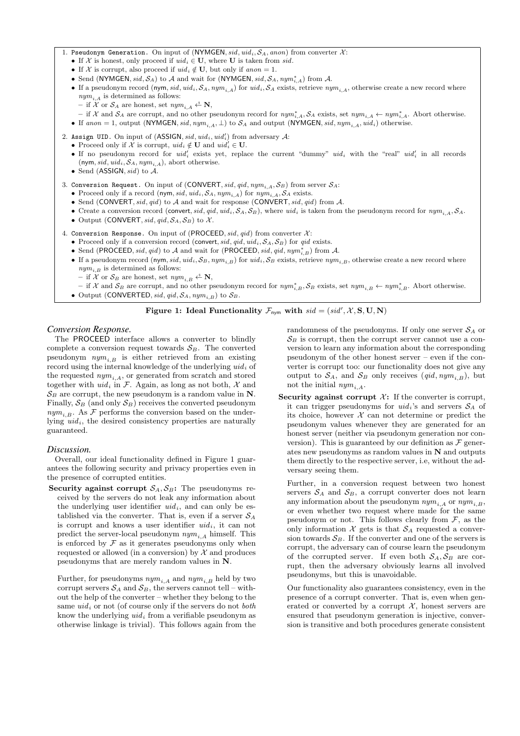- If X is honest, only proceed if  $uid_i \in U$ , where U is taken from sid.
- If X is corrupt, also proceed if  $uid_i \notin U$ , but only if  $anon = 1$ .
- Send (NYMGEN, sid,  $S_A$ ) to A and wait for (NYMGEN, sid,  $S_A$ ,  $nym_{i,A}^*$ ) from A.
- If a pseudonym record (nym, sid,  $uid_i, S_A, nym_{i,A}$ ) for  $uid_i, S_A$  exists, retrieve  $nym_{i,A}$ , otherwise create a new record where  $\mathit{nym}_{i,A}$  is determined as follows:
	- if X or  $S_A$  are honest, set  $nym_{i,A} \xleftarrow{\$} \mathbf{N},$
- $-$  if X and  $S_A$  are corrupt, and no other pseudonym record for  $nym^*_{i,A}$ ,  $S_A$  exists, set  $nym_{i,A}$  ←  $nym^*_{i,A}$ . Abort otherwise.
- If anon = 1, output (NYMGEN, sid,  $nym_{i,A}, \perp$ ) to  $S_A$  and output (NYMGEN, sid,  $nym_{i,A}$ ,  $uid_i)$  otherwise.

2. Assign UID. On input of (ASSIGN,  $sid$ ,  $uid$ <sub>i</sub>,  $uid'$ ) from adversary  $\mathcal{A}$ :

• Proceed only if X is corrupt,  $uid_i \notin U$  and  $uid_i' \in U$ .

- If no pseudonym record for  $uid_i'$  exists yet, replace the current "dummy"  $uid_i$  with the "real"  $uid_i'$  in all records (nym, sid, uid<sub>i</sub>,  $S_A$ , nym<sub>i,A</sub>), abort otherwise.
- Send (ASSIGN,  $sid$ ) to  $A$ .

3. Conversion Request. On input of  $(CONVERT, sid, qid, nym<sub>i,A</sub>, S_B)$  from server  $S_A$ :

- Proceed only if a record (nym, sid, uid<sub>i</sub>,  $S_A$ ,  $nym_{i,A}$ ) for  $nym_{i,A}$ ,  $S_A$  exists.
- Send (CONVERT, sid, qid) to  $A$  and wait for response (CONVERT, sid, qid) from  $A$ .
- Create a conversion record (convert, sid, qid, uid<sub>i</sub>,  $S_A$ ,  $S_B$ ), where uid<sub>i</sub> is taken from the pseudonym record for  $nym_{i,A}$ ,  $S_A$ .
- Output (CONVERT, sid, qid,  $S_A$ ,  $S_B$ ) to X.

4. Conversion Response. On input of (PROCEED,  $sid$ ,  $qid$ ) from converter  $\mathcal{X}$ :

- Proceed only if a conversion record (convert, sid, qid,  $uid_i$ ,  $S_A$ ,  $S_B$ ) for qid exists.
- Send (PROCEED, sid, qid) to A and wait for (PROCEED, sid, qid, nym<sup>\*</sup><sub>i,B</sub>) from A.
- If a pseudonym record (nym, sid,  $uid_i, S_B, nym_{i,B})$  for  $uid_i, S_B$  exists, retrieve  $nym_{i,B}$ , otherwise create a new record where  $nym_{i,B}$  is determined as follows:
	- if X or  $\mathcal{S}_B$  are honest, set  $\mathit{nym}_{i,B} \xleftarrow{\$} \mathbf{N},$
- $-$  if X and  $S_B$  are corrupt, and no other pseudonym record for  $nym_{i,B}^*$ ,  $S_B$  exists, set  $nym_{i,B}$  ←  $nym_{i,B}^*$ . Abort otherwise.
- Output (CONVERTED, sid, qid,  $S_A$ , nym<sub>i,B</sub>) to  $S_B$ .

# Figure 1: Ideal Functionality  $\mathcal{F}_{\text{nym}}$  with  $sid = (sid', \mathcal{X}, S, U, N)$

# *Conversion Response.*

The PROCEED interface allows a converter to blindly complete a conversion request towards  $S_B$ . The converted pseudonym  $nym_{i,B}$  is either retrieved from an existing record using the internal knowledge of the underlying  $uid_i$  of the requested  $nym_{i,A}$ , or generated from scratch and stored together with  $uid_i$  in F. Again, as long as not both, X and  $\mathcal{S}_B$  are corrupt, the new pseudonym is a random value in N. Finally,  $S_B$  (and only  $S_B$ ) receives the converted pseudonym  $nym_{i,B}$ . As  $\mathcal F$  performs the conversion based on the underlying  $uid_i$ , the desired consistency properties are naturally guaranteed.

# *Discussion.*

Overall, our ideal functionality defined in Figure 1 guarantees the following security and privacy properties even in the presence of corrupted entities.

Security against corrupt  $S_A, S_B$ : The pseudonyms received by the servers do not leak any information about the underlying user identifier  $uid_i$ , and can only be established via the converter. That is, even if a server  $S_A$ is corrupt and knows a user identifier  $uid_i$ , it can not predict the server-local pseudonym  $nym_{iA}$  himself. This is enforced by  $\mathcal F$  as it generates pseudonyms only when requested or allowed (in a conversion) by  $\mathcal X$  and produces pseudonyms that are merely random values in N.

Further, for pseudonyms  $nym_{i,A}$  and  $nym_{i,B}$  held by two corrupt servers  $S_A$  and  $S_B$ , the servers cannot tell – without the help of the converter – whether they belong to the same  $uid_i$  or not (of course only if the servers do not *both* know the underlying  $uid_i$  from a verifiable pseudonym as otherwise linkage is trivial). This follows again from the

randomness of the pseudonyms. If only one server  $S_A$  or  $\mathcal{S}_B$  is corrupt, then the corrupt server cannot use a conversion to learn any information about the corresponding pseudonym of the other honest server – even if the converter is corrupt too: our functionality does not give any output to  $S_A$ , and  $S_B$  only receives  $(qid, nym_{i,B})$ , but not the initial  $nym_{i.A}$ .

Security against corrupt  $\mathcal{X}$ : If the converter is corrupt, it can trigger pseudonyms for  $uid_i$ 's and servers  $S_A$  of its choice, however  $X$  can not determine or predict the pseudonym values whenever they are generated for an honest server (neither via pseudonym generation nor conversion). This is guaranteed by our definition as  $\mathcal F$  generates new pseudonyms as random values in  $N$  and outputs them directly to the respective server, i.e, without the adversary seeing them.

Further, in a conversion request between two honest servers  $S_A$  and  $S_B$ , a corrupt converter does not learn any information about the pseudonym  $nym_{i,A}$  or  $nym_{i,B}$ , or even whether two request where made for the same pseudonym or not. This follows clearly from  $\mathcal{F}$ , as the only information  $X$  gets is that  $S_A$  requested a conversion towards  $S_B$ . If the converter and one of the servers is corrupt, the adversary can of course learn the pseudonym of the corrupted server. If even both  $S_A, S_B$  are corrupt, then the adversary obviously learns all involved pseudonyms, but this is unavoidable.

Our functionality also guarantees consistency, even in the presence of a corrupt converter. That is, even when generated or converted by a corrupt  $\mathcal{X}$ , honest servers are ensured that pseudonym generation is injective, conversion is transitive and both procedures generate consistent

<sup>1.</sup> Pseudonym Generation. On input of (NYMGEN,  $sid$ ,  $uid$ <sub>i</sub>,  $S_A$ , anon) from converter  $\mathcal{X}$ :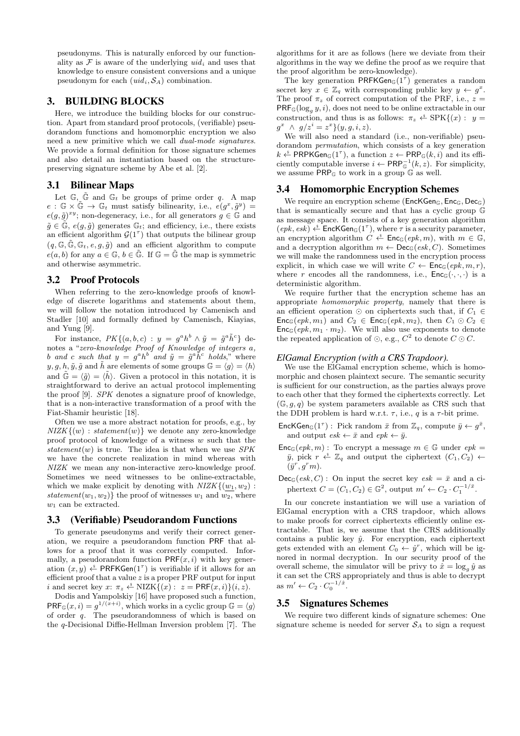pseudonyms. This is naturally enforced by our functionality as  $\mathcal F$  is aware of the underlying  $uid_i$  and uses that knowledge to ensure consistent conversions and a unique pseudonym for each  $(uid_i, S_A)$  combination.

# 3. BUILDING BLOCKS

Here, we introduce the building blocks for our construction. Apart from standard proof protocols, (verifiable) pseudorandom functions and homomorphic encryption we also need a new primitive which we call dual-mode signatures. We provide a formal definition for those signature schemes and also detail an instantiation based on the structurepreserving signature scheme by Abe et al. [2].

# 3.1 Bilinear Maps

Let  $\mathbb{G}$ ,  $\tilde{\mathbb{G}}$  and  $\mathbb{G}_t$  be groups of prime order q. A map  $e: \mathbb{G} \times \tilde{\mathbb{G}} \to \mathbb{G}_t$  must satisfy bilinearity, i.e.,  $e(g^x, \tilde{g}^y) =$  $e(g, \tilde{g})^{xy}$ ; non-degeneracy, i.e., for all generators  $g \in \mathbb{G}$  and  $\tilde{g} \in \tilde{\mathbb{G}}, e(g, \tilde{g})$  generates  $\mathbb{G}_t$ ; and efficiency, i.e., there exists an efficient algorithm  $\mathcal{G}(1^{\tau})$  that outputs the bilinear group  $(q, \mathbb{G}, \tilde{\mathbb{G}}, \mathbb{G}_t, e, q, \tilde{q})$  and an efficient algorithm to compute  $e(a, b)$  for any  $a \in \mathbb{G}$ ,  $b \in \tilde{\mathbb{G}}$ . If  $\mathbb{G} = \tilde{\mathbb{G}}$  the map is symmetric and otherwise asymmetric.

## 3.2 Proof Protocols

When referring to the zero-knowledge proofs of knowledge of discrete logarithms and statements about them, we will follow the notation introduced by Camenisch and Stadler [10] and formally defined by Camenisch, Kiayias, and Yung [9].

For instance,  $PK\{(a, b, c): y = g^a h^b \wedge \tilde{y} = \tilde{g}^a \tilde{h}^c \}$  denotes a "zero-knowledge Proof of Knowledge of integers a, b and c such that  $y = g^a h^b$  and  $\tilde{y} = \tilde{g}^a \tilde{h}^c$  holds," where  $y, g, h, \tilde{y}, \tilde{g}$  and  $\tilde{h}$  are elements of some groups  $\mathbb{G} = \langle g \rangle = \langle h \rangle$ and  $\tilde{\mathbb{G}} = \langle \tilde{g} \rangle = \langle \tilde{h} \rangle$ . Given a protocol in this notation, it is straightforward to derive an actual protocol implementing the proof [9]. SPK denotes a signature proof of knowledge, that is a non-interactive transformation of a proof with the Fiat-Shamir heuristic [18].

Often we use a more abstract notation for proofs, e.g., by  $NIZK$ { $(w)$ : statement $(w)$ } we denote any zero-knowledge proof protocol of knowledge of a witness w such that the statement(w) is true. The idea is that when we use  $SPK$ we have the concrete realization in mind whereas with NIZK we mean any non-interactive zero-knowledge proof. Sometimes we need witnesses to be online-extractable, which we make explicit by denoting with  $NIZK\{(w_1, w_2):$ statement(w<sub>1</sub>, w<sub>2</sub>)} the proof of witnesses  $w_1$  and  $w_2$ , where  $w_1$  can be extracted.

# 3.3 (Verifiable) Pseudorandom Functions

To generate pseudonyms and verify their correct generation, we require a pseudorandom function PRF that allows for a proof that it was correctly computed. Informally, a pseudorandom function  $PRF(x, i)$  with key generation  $(x, y) \xleftarrow{\&} \textsf{PRFKGen}(1^\tau)$  is verifiable if it allows for an efficient proof that a value  $z$  is a proper PRF output for input i and secret key  $x: \pi_z \stackrel{\hspace{0.1em}\mathsf{\scriptscriptstyle\$}}{\leftarrow} \textrm{NIZK}\{(x): \ z = \mathsf{PRF}(x,i)\}(i,z).$ 

Dodis and Yampolskiy [16] have proposed such a function,  $PRF_{\mathbb{G}}(x, i) = g^{1/(x+i)}$ , which works in a cyclic group  $\mathbb{G} = \langle g \rangle$ of order q. The pseudorandomness of which is based on the q-Decisional Diffie-Hellman Inversion problem [7]. The

algorithms for it are as follows (here we deviate from their algorithms in the way we define the proof as we require that the proof algorithm be zero-knowledge).

The key generation PRFKGen<sub>G</sub>(1<sup> $\tau$ </sup>) generates a random secret key  $x \in \mathbb{Z}_q$  with corresponding public key  $y \leftarrow g^x$ . The proof  $\pi_z$  of correct computation of the PRF, i.e.,  $z =$  $PRF_{\mathbb{G}}(\log_g y, i)$ , does not need to be online extractable in our construction, and thus is as follows:  $\pi_z \stackrel{\hspace{0.1em}\mathsf{\scriptscriptstyle\$}}{\leftarrow}$  SPK $\{(x): y =$  $g^x \wedge g/z^i = z^x \} (y, g, i, z).$ 

We will also need a standard (i.e., non-verifiable) pseudorandom permutation, which consists of a key generation  $k \stackrel{\text{*}}{\leftarrow}$  PRPKGen<sub>G</sub>(1<sup> $\tau$ </sup>), a function  $z \leftarrow$  PRP<sub>G</sub>( $k, i$ ) and its efficiently computable inverse  $i \leftarrow \textsf{PRP}_{\mathbb{G}}^{-1}(k, z)$ . For simplicity, we assume PRP<sup>G</sup> to work in a group G as well.

#### 3.4 Homomorphic Encryption Schemes

We require an encryption scheme ( $EncKGen<sub>G</sub>, Enc<sub>G</sub>, Dec<sub>G</sub>$ ) that is semantically secure and that has a cyclic group G as message space. It consists of a key generation algorithm  $(epk, esk) \xleftarrow{\text{\&}} \text{EncKGen}_{\mathbb{G}}(1^{\tau}), \text{where } \tau \text{ is a security parameter},$ an encryption algorithm  $C \xleftarrow{\$} \mathsf{Enc}_{\mathbb{G}}(epk, m)$ , with  $m \in \mathbb{G}$ , and a decryption algorithm  $m \leftarrow \mathsf{Dec}_{\mathbb{G}}(esk, C)$ . Sometimes we will make the randomness used in the encryption process explicit, in which case we will write  $C \leftarrow \mathsf{Enc}_{\mathbb{G}}(epk, m, r)$ , where r encodes all the randomness, i.e.,  $\mathsf{Enc}_{\mathbb{G}}(\cdot,\cdot,\cdot)$  is a deterministic algorithm.

We require further that the encryption scheme has an appropriate homomorphic property, namely that there is an efficient operation  $\odot$  on ciphertexts such that, if  $C_1 \in$  $\mathsf{Enc}_{\mathbb{G}}(epk, m_1)$  and  $C_2 \in \mathsf{Enc}_{\mathbb{G}}(epk, m_2)$ , then  $C_1 \odot C_2 \in$  $\mathsf{Enc}_{\mathbb{G}}(epk, m_1 \cdot m_2)$ . We will also use exponents to denote the repeated application of  $\odot$ , e.g.,  $C^2$  to denote  $C \odot C$ .

## *ElGamal Encryption (with a CRS Trapdoor).*

We use the ElGamal encryption scheme, which is homomorphic and chosen plaintext secure. The semantic security is sufficient for our construction, as the parties always prove to each other that they formed the ciphertexts correctly. Let  $(\mathbb{G}, q, q)$  be system parameters available as CRS such that the DDH problem is hard w.r.t.  $\tau$ , i.e., q is a  $\tau$ -bit prime.

- EncKGen<sub>G</sub>(1<sup> $\tau$ </sup>): Pick random  $\bar{x}$  from  $\mathbb{Z}_q$ , compute  $\bar{y} \leftarrow g^{\bar{x}}$ , and output  $\operatorname{esk} \leftarrow \bar{x}$  and  $\operatorname{epk} \leftarrow \bar{y}$ .
- $\mathsf{Enc}_{\mathbb{G}}(epk, m)$ : To encrypt a message  $m \in \mathbb{G}$  under  $epk =$  $\bar{y}$ , pick  $r \stackrel{\hspace{1pt}\ast}{\leftarrow} \mathbb{Z}_q$  and output the ciphertext  $(C_1, C_2) \leftarrow$  $(\bar{y}^r, g^r m)$ .
- $Dec_{\mathbb{G}}(esk, C)$ : On input the secret key  $esk = \bar{x}$  and a ciphertext  $C = (C_1, C_2) \in \mathbb{G}^2$ , output  $m' \leftarrow C_2 \cdot C_1^{-1/\bar{x}}$ .

In our concrete instantiation we will use a variation of ElGamal encryption with a CRS trapdoor, which allows to make proofs for correct ciphertexts efficiently online extractable. That is, we assume that the CRS additionally contains a public key  $\hat{y}$ . For encryption, each ciphertext gets extended with an element  $C_0 \leftarrow \hat{y}^r$ , which will be ignored in normal decryption. In our security proof of the overall scheme, the simulator will be privy to  $\hat{x} = \log_a \hat{y}$  as it can set the CRS appropriately and thus is able to decrypt as  $m' \leftarrow C_2 \cdot C_0^{-1/\hat{x}}$ .

## 3.5 Signatures Schemes

We require two different kinds of signature schemes: One signature scheme is needed for server  $S_A$  to sign a request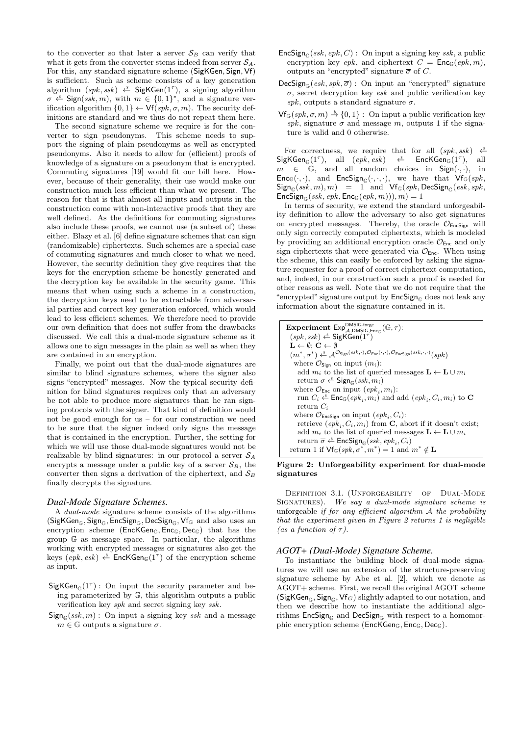to the converter so that later a server  $S_B$  can verify that what it gets from the converter stems indeed from server  $S_A$ . For this, any standard signature scheme (SigKGen, Sign, Vf) is sufficient. Such as scheme consists of a key generation algorithm  $(spk, ssk) \xleftarrow{s} \mathsf{SigKGen}(1^{\tau}),$  a signing algorithm  $\sigma \stackrel{\hspace{0.1em}\mathsf{\scriptscriptstyle\$}}{\leftarrow}$  Sign(ssk, m), with  $m \in \{0,1\}^*$ , and a signature verification algorithm  $\{0, 1\} \leftarrow \mathsf{Vf}(spk, \sigma, m)$ . The security definitions are standard and we thus do not repeat them here.

The second signature scheme we require is for the converter to sign pseudonyms. This scheme needs to support the signing of plain pseudonyms as well as encrypted pseudonyms. Also it needs to allow for (efficient) proofs of knowledge of a signature on a pseudonym that is encrypted. Commuting signatures [19] would fit our bill here. However, because of their generality, their use would make our construction much less efficient than what we present. The reason for that is that almost all inputs and outputs in the construction come with non-interactive proofs that they are well defined. As the definitions for commuting signatures also include these proofs, we cannot use (a subset of) these either. Blazy et al. [6] define signature schemes that can sign (randomizable) ciphertexts. Such schemes are a special case of commuting signatures and much closer to what we need. However, the security definition they give requires that the keys for the encryption scheme be honestly generated and the decryption key be available in the security game. This means that when using such a scheme in a construction, the decryption keys need to be extractable from adversarial parties and correct key generation enforced, which would lead to less efficient schemes. We therefore need to provide our own definition that does not suffer from the drawbacks discussed. We call this a dual-mode signature scheme as it allows one to sign messages in the plain as well as when they are contained in an encryption.

Finally, we point out that the dual-mode signatures are similar to blind signature schemes, where the signer also signs "encrypted" messages. Now the typical security definition for blind signatures requires only that an adversary be not able to produce more signatures than he ran signing protocols with the signer. That kind of definition would not be good enough for us – for our construction we need to be sure that the signer indeed only signs the message that is contained in the encryption. Further, the setting for which we will use those dual-mode signatures would not be realizable by blind signatures: in our protocol a server  $S_A$ encrypts a message under a public key of a server  $S_B$ , the converter then signs a derivation of the ciphertext, and  $S_B$ finally decrypts the signature.

#### *Dual-Mode Signature Schemes.*

A dual-mode signature scheme consists of the algorithms  $(SigKGen_{\mathbb{G}}, Sign_{\mathbb{G}}, EncSign_{\mathbb{G}}, DecSign_{\mathbb{G}}, Vf_{\mathbb{G}}$  and also uses an encryption scheme ( $EncKGen_G, Enc_G, Dec_G$ ) that has the group G as message space. In particular, the algorithms working with encrypted messages or signatures also get the keys  $(\textit{epk}, \textit{esk}) \overset{\hspace{0.1em}\mathsf{\scriptscriptstyle\$}}{\leftarrow} \mathsf{EncKGen}_{\mathbb{G}}(1^{\tau})$  of the encryption scheme as input.

- $SigKGen_{\mathbb{G}}(1^{\tau})$ : On input the security parameter and being parameterized by G, this algorithm outputs a public verification key spk and secret signing key ssk.
- $Sign_{\mathbb{C}}(ssk, m)$ : On input a signing key ssk and a message  $m \in \mathbb{G}$  outputs a signature  $\sigma$ .
- $\mathsf{EncSign}_{\mathbb{G}}(ssk, epk, C)$ : On input a signing key ssk, a public encryption key epk, and ciphertext  $C = \text{Enc}_{\mathbb{G}}(epk, m)$ , outputs an "encrypted" signature  $\bar{\sigma}$  of C.
- $\mathsf{DecSign}_{\mathbb{G}}(esk, spk, \overline{\sigma})$ : On input an "encrypted" signature  $\overline{\sigma}$ , secret decryption key esk and public verification key spk, outputs a standard signature  $\sigma$ .
- $\mathsf{Vf}_{\mathbb{G}}(\mathit{spk}, \sigma, m) \stackrel{\$}{\rightarrow} \{0,1\} :$  On input a public verification key spk, signature  $\sigma$  and message m, outputs 1 if the signature is valid and 0 otherwise.

For correctness, we require that for all  $(spk, ssk) \leftarrow$  $SigKGen_{\mathbb{G}}(1^{\tau}),$  all  $(epk, esk) \Leftrightarrow$  EncKGen $_{\mathbb{G}}(1^{\tau}),$  all  $m \in \mathbb{G}$ , and all random choices in Sign(...), in  $\mathsf{Enc}_{\mathbb{G}}(\cdot,\cdot)$ , and  $\mathsf{EncSign}_{\mathbb{G}}(\cdot,\cdot,\cdot)$ , we have that  $\mathsf{Vf}_{\mathbb{G}}(spk,$  $Sign_{\mathbb{G}}(ssk, m), m) = 1$  and  $Vf_{\mathbb{G}}(spk, \text{DecSign}_{\mathbb{G}}(esk, spk,$  $\mathsf{EncSign}_{\mathbb{G}}(ssk, epk, \mathsf{Enc}_{\mathbb{G}}(epk, m))), m) = 1$ 

In terms of security, we extend the standard unforgeability definition to allow the adversary to also get signatures on encrypted messages. Thereby, the oracle  $\mathcal{O}_{\mathsf{EncSign}}$  will only sign correctly computed ciphertexts, which is modeled by providing an additional encryption oracle  $\mathcal{O}_{\mathsf{Enc}}$  and only sign ciphertexts that were generated via  $\mathcal{O}_{\text{Enc}}$ . When using the scheme, this can easily be enforced by asking the signature requester for a proof of correct ciphertext computation, and, indeed, in our construction such a proof is needed for other reasons as well. Note that we do not require that the "encrypted" signature output by  $\mathsf{EncSign}_{\mathbb{C}}$  does not leak any information about the signature contained in it.

| <b>Experiment</b> $Exp_{A.DMSIG. Encc}^{DMSIG. forge$ <sub>(G, <math>\tau</math>):</sub>                                                                                                                                                |
|-----------------------------------------------------------------------------------------------------------------------------------------------------------------------------------------------------------------------------------------|
| $(spk, ssk) \overset{\hspace{0.1em}\mathsf{\scriptscriptstyle\$}}{\leftarrow} \mathsf{SigKGen}(1^{\tau})$                                                                                                                               |
| $\mathbf{L} \leftarrow \emptyset$ ; $\mathbf{C} \leftarrow \emptyset$                                                                                                                                                                   |
| $(m^*, \sigma^*) \overset{\hspace{0.1em}\mathsf{\scriptscriptstyle\$}}{\leftarrow} \mathcal{A}^{\mathcal{O}}$ Sign $(ssk, \cdot), \mathcal{O}_{\mathsf{Enc}}(\cdot, \cdot), \mathcal{O}_{\mathsf{Enc}}(\cdot, ssk, \cdot, \cdot)}(spk)$ |
| where $\mathcal{O}_{\text{Sign}}$ on input $(m_i)$ :                                                                                                                                                                                    |
| add $m_i$ to the list of queried messages $\mathbf{L} \leftarrow \mathbf{L} \cup m_i$                                                                                                                                                   |
| return $\sigma \leftarrow$ Sign <sub>c</sub> (ssk, $m_i$ )                                                                                                                                                                              |
| where $\mathcal{O}_{\mathsf{Enc}}$ on input $(\mathit{epk}_i, m_i)$ :                                                                                                                                                                   |
| run $C_i \stackrel{*}{\leftarrow} \mathsf{Enc}_{\mathbb{G}}(epk_i, m_i)$ and add $(epk_i, C_i, m_i)$ to <b>C</b>                                                                                                                        |
| return $C_i$                                                                                                                                                                                                                            |
| where $\mathcal{O}_{\mathsf{EncSign}}$ on input $(epk_i, C_i)$ :                                                                                                                                                                        |
| retrieve $(epk_i, C_i, m_i)$ from <b>C</b> , abort if it doesn't exist;                                                                                                                                                                 |
| add $m_i$ to the list of queried messages $\mathbf{L} \leftarrow \mathbf{L} \cup m_i$                                                                                                                                                   |
| return $\overline{\sigma} \stackrel{\hspace{0.1em}\mathsf{\scriptscriptstyle\$}}{\leftarrow}$ EncSign <sub><math>\mathbb{G}(ssk, epk_i, C_i)</math></sub>                                                                               |
| return 1 if $\mathsf{Vf}_{\mathbb{G}}(\mathit{spk}, \sigma^*, m^*) = 1$ and $m^* \notin \mathbf{L}$                                                                                                                                     |

## Figure 2: Unforgeability experiment for dual-mode signatures

Definition 3.1. (Unforgeability of Dual-Mode SIGNATURES). We say a dual-mode signature scheme is unforgeable if for any efficient algorithm  $A$  the probability that the experiment given in Figure 2 returns 1 is negligible (as a function of  $\tau$ ).

## *AGOT+ (Dual-Mode) Signature Scheme.*

To instantiate the building block of dual-mode signatures we will use an extension of the structure-preserving signature scheme by Abe et al. [2], which we denote as AGOT+ scheme. First, we recall the original AGOT scheme (SigKGen<sub>G</sub>, Sign<sub>G</sub>, Vf<sub>G</sub>) slightly adapted to our notation, and then we describe how to instantiate the additional algorithms  $EncSign_{\mathbb{C}}$  and  $DecSign_{\mathbb{C}}$  with respect to a homomorphic encryption scheme (EncKGen<sub>G</sub>, Enc<sub>G</sub>, Dec<sub>G</sub>).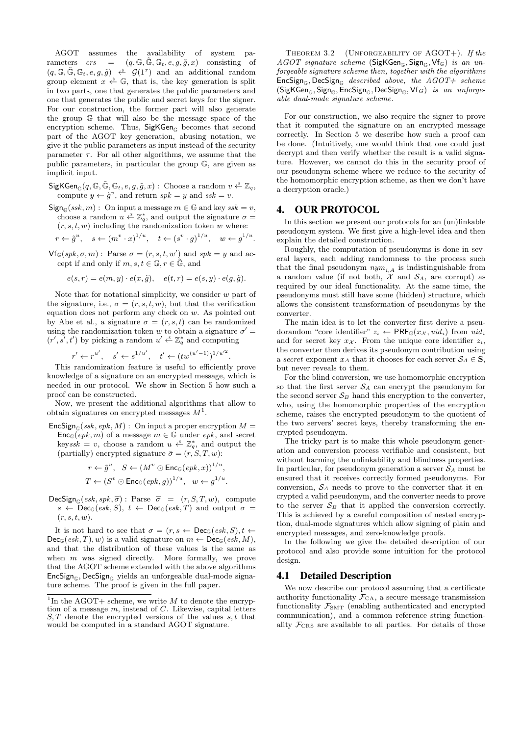AGOT assumes the availability of system parameters  $crs = (q, \mathbb{G}, \tilde{\mathbb{G}}, \mathbb{G}_t, e, g, \tilde{g}, x)$  consisting of  $(q, \mathbb{G}, \tilde{\mathbb{G}}, \mathbb{G}_t, e, g, \tilde{g}) \stackrel{\hspace{0.1em}\mathsf{\scriptscriptstyle\$}}{\leftarrow} \mathcal{G}(1^{\tau})$  and an additional random group element  $x \stackrel{s}{\leftarrow} \mathbb{G}$ , that is, the key generation is split in two parts, one that generates the public parameters and one that generates the public and secret keys for the signer. For our construction, the former part will also generate the group G that will also be the message space of the encryption scheme. Thus,  $SigKGen_{\mathbb{G}}$  becomes that second part of the AGOT key generation, abusing notation, we give it the public parameters as input instead of the security parameter  $\tau$ . For all other algorithms, we assume that the public parameters, in particular the group G, are given as implicit input.

- $\mathsf{SigKGen}_{\mathbb{G}}(q, \mathbb{G}, \tilde{\mathbb{G}}, \mathbb{G}_t, e, g, \tilde{g}, x) : \text{Choose a random } v \overset{\simeq}{\leftarrow} \mathbb{Z}_q,$ compute  $y \leftarrow \tilde{g}^v$ , and return  $spk = y$  and  $ssk = v$ .
- $Sign_{\mathbb{C}}(ssk, m)$ : On input a message  $m \in \mathbb{G}$  and key  $ssk = v$ , choose a random  $u \stackrel{s}{\leftarrow} \mathbb{Z}_q^*$ , and output the signature  $\sigma =$  $(r, s, t, w)$  including the randomization token w where:

$$
r \leftarrow \tilde{g}^u
$$
,  $s \leftarrow (m^v \cdot x)^{1/u}$ ,  $t \leftarrow (s^v \cdot g)^{1/u}$ ,  $w \leftarrow g^{1/u}$ 

 $\mathsf{Vf}_{\mathbb{G}}(spk,\sigma,m)$ : Parse  $\sigma = (r,s,t,w')$  and  $spk = y$  and accept if and only if  $m, s, t \in \mathbb{G}, r \in \tilde{\mathbb{G}}$ , and

$$
e(s,r) = e(m,y) \cdot e(x,\tilde{g}), \quad e(t,r) = e(s,y) \cdot e(g,\tilde{g}).
$$

Note that for notational simplicity, we consider  $w$  part of the signature, i.e.,  $\sigma = (r, s, t, w)$ , but that the verification equation does not perform any check on w. As pointed out by Abe et al., a signature  $\sigma = (r, s, t)$  can be randomized using the randomization token w to obtain a signature  $\sigma'$  =  $(r', s', t')$  by picking a random  $u' \xleftarrow{\&} \mathbb{Z}_q^*$  and computing

$$
r' \leftarrow r^{u'}, \quad s' \leftarrow s^{1/u'}, \quad t' \leftarrow (tw^{(u'-1)})^{1/u'^2}
$$

This randomization feature is useful to efficiently prove knowledge of a signature on an encrypted message, which is needed in our protocol. We show in Section 5 how such a proof can be constructed.

Now, we present the additional algorithms that allow to obtain signatures on encrypted messages  $M<sup>1</sup>$ .

 $\mathsf{EncSign}_{\mathbb{G}}(ssk, epk, M) :$  On input a proper encryption  $M =$  $Enc_{\mathbb{G}}(epk, m)$  of a message  $m \in \mathbb{G}$  under epk, and secret keyssk = v, choose a random  $u \stackrel{s}{\leftarrow} \mathbb{Z}_q^*$ , and output the (partially) encrypted signature  $\bar{\sigma} = (r, S, T, w)$ :

$$
r \leftarrow \tilde{g}^u, \quad S \leftarrow (M^v \odot \text{Enc}_{\mathbb{G}}(epk, x))^{1/u},
$$
  

$$
T \leftarrow (S^v \odot \text{Enc}_{\mathbb{G}}(epk, g))^{1/u}, \quad w \leftarrow g^{1/u}.
$$

 $\mathsf{DecSign}_{\mathbb{G}}(esk, spk, \overline{\sigma}) : \text{Parse } \overline{\sigma} = (r, S, T, w), \text{ compute}$  $s \leftarrow \textsf{Dec}_{\mathbb{G}}(esk, S), t \leftarrow \textsf{Dec}_{\mathbb{G}}(esk, T)$  and output  $\sigma =$  $(r, s, t, w).$ 

It is not hard to see that  $\sigma = (r, s \leftarrow \text{Dec}_{\mathbb{G}}(esk, S), t \leftarrow$  $Dec_{\mathbb{G}}(esk, T), w)$  is a valid signature on  $m \leftarrow Dec_{\mathbb{G}}(esk, M),$ and that the distribution of these values is the same as when  $m$  was signed directly. More formally, we prove that the AGOT scheme extended with the above algorithms  $\mathsf{EncSign}_{\mathbb{G}}$ , DecSign<sub>G</sub> yields an unforgeable dual-mode signature scheme. The proof is given in the full paper.

THEOREM 3.2 (UNFORGEABILITY OF AGOT+). If the AGOT signature scheme (SigKGen<sub>G</sub>, Sign<sub>G</sub>, Vf<sub>G</sub>) is an unforgeable signature scheme then, together with the algorithms  $\mathsf{EncSign}_{\mathbb{C}}$ , DecSign $_{\mathbb{C}}$  described above, the AGOT+ scheme  $(SigKGen_{\mathbb{G}}, Sign_{\mathbb{G}}, EncSign_{\mathbb{G}}, DecSign_{\mathbb{G}}, Vf_G)$  is an unforgeable dual-mode signature scheme.

For our construction, we also require the signer to prove that it computed the signature on an encrypted message correctly. In Section 5 we describe how such a proof can be done. (Intuitively, one would think that one could just decrypt and then verify whether the result is a valid signature. However, we cannot do this in the security proof of our pseudonym scheme where we reduce to the security of the homomorphic encryption scheme, as then we don't have a decryption oracle.)

# 4. OUR PROTOCOL

.

.

In this section we present our protocols for an (un)linkable pseudonym system. We first give a high-level idea and then explain the detailed construction.

Roughly, the computation of pseudonyms is done in several layers, each adding randomness to the process such that the final pseudonym  $nym_{i,A}$  is indistinguishable from a random value (if not both,  $\mathcal{X}$  and  $\mathcal{S}_A$ , are corrupt) as required by our ideal functionality. At the same time, the pseudonyms must still have some (hidden) structure, which allows the consistent transformation of pseudonyms by the converter.

The main idea is to let the converter first derive a pseudorandom "core identifier"  $z_i \leftarrow \text{PRF}_{\mathbb{G}}(x_{\mathcal{X}}, \text{uid}_i)$  from  $\text{uid}_i$ and for secret key  $x_{\mathcal{X}}$ . From the unique core identifier  $z_i$ , the converter then derives its pseudonym contribution using a secret exponent  $x_A$  that it chooses for each server  $S_A \in \mathbf{S}$ , but never reveals to them.

For the blind conversion, we use homomorphic encryption so that the first server  $S_A$  can encrypt the pseudonym for the second server  $S_B$  hand this encryption to the converter, who, using the homomorphic properties of the encryption scheme, raises the encrypted pseudonym to the quotient of the two servers' secret keys, thereby transforming the encrypted pseudonym.

The tricky part is to make this whole pseudonym generation and conversion process verifiable and consistent, but without harming the unlinkability and blindness properties. In particular, for pseudonym generation a server  $S_A$  must be ensured that it receives correctly formed pseudonyms. For conversion,  $S_A$  needs to prove to the converter that it encrypted a valid pseudonym, and the converter needs to prove to the server  $S_B$  that it applied the conversion correctly. This is achieved by a careful composition of nested encryption, dual-mode signatures which allow signing of plain and encrypted messages, and zero-knowledge proofs.

In the following we give the detailed description of our protocol and also provide some intuition for the protocol design.

## 4.1 Detailed Description

We now describe our protocol assuming that a certificate authority functionality  $\mathcal{F}_{CA}$ , a secure message transmission functionality  $\mathcal{F}_{SMT}$  (enabling authenticated and encrypted communication), and a common reference string functionality  $\mathcal{F}_{CRS}$  are available to all parties. For details of those

<sup>&</sup>lt;sup>1</sup>In the AGOT+ scheme, we write  $M$  to denote the encryption of a message  $m$ , instead of  $C$ . Likewise, capital letters  $S, T$  denote the encrypted versions of the values  $s, t$  that would be computed in a standard AGOT signature.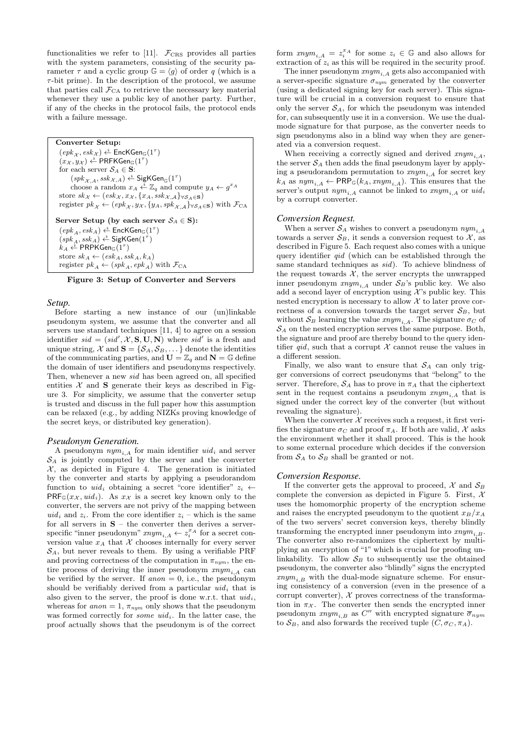functionalities we refer to [11].  $\mathcal{F}_{CRS}$  provides all parties with the system parameters, consisting of the security parameter  $\tau$  and a cyclic group  $\mathbb{G} = \langle g \rangle$  of order q (which is a  $\tau$ -bit prime). In the description of the protocol, we assume that parties call  $\mathcal{F}_{CA}$  to retrieve the necessary key material whenever they use a public key of another party. Further, if any of the checks in the protocol fails, the protocol ends with a failure message.

Converter Setup:  $(\mathit{epk}_\mathcal{X}, \mathit{esk}_\mathcal{X}) \overset{\hspace{0.1em}\mathsf{\scriptscriptstyle\$}}{\leftarrow} \mathsf{EncKGen}_{\mathbb{G}}(1^\tau)$  $(x_{\mathcal{X}}, y_{\mathcal{X}}) \overset{\hspace{0.1em}\mathsf{\scriptscriptstyle\$}}{\leftarrow} \mathsf{PRFKGen}_{\mathbb{G}}(1^{\tau})$ for each server  $\mathcal{S}_A \in \mathbf{S}$ :  $(spk_{\mathcal{X},A},ssk_{\mathcal{X},A}) \overset{\hspace{0.1em}\mathsf{\scriptscriptstyle\$}}{\leftarrow} \mathsf{SigKGen}_{\mathbb{G}}(1^{\tau})$ choose a random  $x_A \stackrel{\bar{s}}{\leftarrow} \mathbb{Z}_q$  and compute  $y_A \leftarrow g^{x_A}$ store  $sk_{\mathcal{X}} \leftarrow (esk_{\mathcal{X}}, x_{\mathcal{X}}, \{x_A, ssk_{\mathcal{X},\mathcal{A}}\}_{\forall \mathcal{S}_{\mathcal{A}} \in \mathbf{S}})$ register  $pk_{\mathcal{X}} \leftarrow (epk_{\mathcal{X}}, y_{\mathcal{X}}, \{y_A, spk_{\mathcal{X}, \mathcal{A}}\}_{\forall S_A \in \mathbf{S}})$  with  $\mathcal{F}_{\text{CA}}$ Server Setup (by each server  $S_A \in \mathbf{S}$ ):  $(\mathit{epk}_A, \mathit{esk}_A) \overset{\hspace{0.1em}\mathsf{\scriptscriptstyle\$}}{\leftarrow} \mathsf{EncKGen}_{\mathbbm{G}}(1^{\tau})$  $(spk_A,ssk_A) \xleftarrow{\$} \mathsf{SigKGen}(1^{\tau})$  $k_A \overset{\hspace{0.1em}\mathsf{\scriptscriptstyle\$}}{\leftarrow}$  PRPKGen $_{\mathbb{G}}(1^{\tau})$ store  $sk_A \leftarrow (esk_A, ssk_A, k_A)$ register  $pk_A \leftarrow (spk_A, epk_A)$  with  $\mathcal{F}_{CA}$ 

Figure 3: Setup of Converter and Servers

# *Setup.*

Before starting a new instance of our (un)linkable pseudonym system, we assume that the converter and all servers use standard techniques [11, 4] to agree on a session identifier  $sid = (sid', \mathcal{X}, \mathbf{S}, \mathbf{U}, \mathbf{N})$  where  $sid'$  is a fresh and unique string,  $\mathcal{X}$  and  $\mathbf{S} = \{S_A, S_B, \dots\}$  denote the identities of the communicating parties, and  $\mathbf{U} = \mathbb{Z}_q$  and  $\mathbf{N} = \mathbb{G}$  define the domain of user identifiers and pseudonyms respectively. Then, whenever a new sid has been agreed on, all specified entities  $X$  and **S** generate their keys as described in Figure 3. For simplicity, we assume that the converter setup is trusted and discuss in the full paper how this assumption can be relaxed (e.g., by adding NIZKs proving knowledge of the secret keys, or distributed key generation).

#### *Pseudonym Generation.*

A pseudonym  $\mathit{nym}_{i,A}$  for main identifier  $\mathit{uid}_i$  and server  $S_A$  is jointly computed by the server and the converter  $X$ , as depicted in Figure 4. The generation is initiated by the converter and starts by applying a pseudorandom function to  $uid_i$  obtaining a secret "core identifier"  $z_i \leftarrow$  $PRF_{\mathbb{G}}(x_{\mathcal{X}}, \text{uid}_i)$ . As  $x_{\mathcal{X}}$  is a secret key known only to the converter, the servers are not privy of the mapping between uid<sub>i</sub> and  $z_i$ . From the core identifier  $z_i$  – which is the same for all servers in  $S -$  the converter then derives a serverspecific "inner pseudonym"  $xnym_{i,A} \leftarrow z_i^{x_A}$  for a secret conversion value  $x_A$  that X chooses internally for every server  $\mathcal{S}_A$ , but never reveals to them. By using a verifiable PRF and proving correctness of the computation in  $\pi_{num}$ , the entire process of deriving the inner pseudonym  $xnym_{i,A}$  can be verified by the server. If  $anon = 0$ , i.e., the pseudonym should be verifiably derived from a particular  $uid_i$  that is also given to the server, the proof is done w.r.t. that  $uid_i$ , whereas for anon = 1,  $\pi_{nym}$  only shows that the pseudonym was formed correctly for *some uid<sub>i</sub>*. In the latter case, the proof actually shows that the pseudonym is of the correct

form  $xnym_{i,A} = z_i^{x_A}$  for some  $z_i \in \mathbb{G}$  and also allows for extraction of  $z_i$  as this will be required in the security proof.

The inner pseudonym  $xnym_{i,A}$  gets also accompanied with a server-specific signature  $\sigma_{nym}$  generated by the converter (using a dedicated signing key for each server). This signature will be crucial in a conversion request to ensure that only the server  $S_A$ , for which the pseudonym was intended for, can subsequently use it in a conversion. We use the dualmode signature for that purpose, as the converter needs to sign pseudonyms also in a blind way when they are generated via a conversion request.

When receiving a correctly signed and derived  $xnym_{i,A}$ , the server  $S_A$  then adds the final pseudonym layer by applying a pseudorandom permutation to  $xnym_{i,A}$  for secret key  $k_A$  as  $nym_{i,A} \leftarrow \text{PRP}_{\mathbb{G}}(k_A, mym_{i,A})$ . This ensures that the server's output  $nym_{i}$ , a cannot be linked to  $xnym_{i}$  a or  $uid_i$ by a corrupt converter.

#### *Conversion Request.*

When a server  $S_A$  wishes to convert a pseudonym  $nym_{i,A}$ towards a server  $S_B$ , it sends a conversion request to X, as described in Figure 5. Each request also comes with a unique query identifier *gid* (which can be established through the same standard techniques as sid). To achieve blindness of the request towards  $X$ , the server encrypts the unwrapped inner pseudonym  $xnym_{i,A}$  under  $S_B$ 's public key. We also add a second layer of encryption using  $\mathcal{X}$ 's public key. This nested encryption is necessary to allow  $\mathcal X$  to later prove correctness of a conversion towards the target server  $S_B$ , but without  $S_B$  learning the value  $xnym_{i,A}$ . The signature  $\sigma_C$  of  $\mathcal{S}_A$  on the nested encryption serves the same purpose. Both, the signature and proof are thereby bound to the query identifier qid, such that a corrupt  $\mathcal X$  cannot reuse the values in a different session.

Finally, we also want to ensure that  $S_A$  can only trigger conversions of correct pseudonyms that "belong" to the server. Therefore,  $S_A$  has to prove in  $\pi_A$  that the ciphertext sent in the request contains a pseudonym  $xnym_{i,A}$  that is signed under the correct key of the converter (but without revealing the signature).

When the converter  $\mathcal X$  receives such a request, it first verifies the signature  $\sigma_C$  and proof  $\pi_A$ . If both are valid, X asks the environment whether it shall proceed. This is the hook to some external procedure which decides if the conversion from  $S_A$  to  $S_B$  shall be granted or not.

## *Conversion Response.*

If the converter gets the approval to proceed,  $\mathcal{X}$  and  $\mathcal{S}_B$ complete the conversion as depicted in Figure 5. First,  $\mathcal{X}$ uses the homomorphic property of the encryption scheme and raises the encrypted pseudonym to the quotient  $x_B/x_A$ of the two servers' secret conversion keys, thereby blindly transforming the encrypted inner pseudonym into  $xnym_{i,B}$ . The converter also re-randomizes the ciphertext by multiplying an encryption of "1" which is crucial for proofing unlinkability. To allow  $S_B$  to subsequently use the obtained pseudonym, the converter also "blindly" signs the encrypted  $xnym_{i,B}$  with the dual-mode signature scheme. For ensuring consistency of a conversion (even in the presence of a corrupt converter),  $X$  proves correctness of the transformation in  $\pi_{\mathcal{X}}$ . The converter then sends the encrypted inner pseudonym  $xnym_{i,B}$  as  $C''$  with encrypted signature  $\overline{\sigma}_{nym}$ to  $S_B$ , and also forwards the received tuple  $(C, \sigma_C, \pi_A)$ .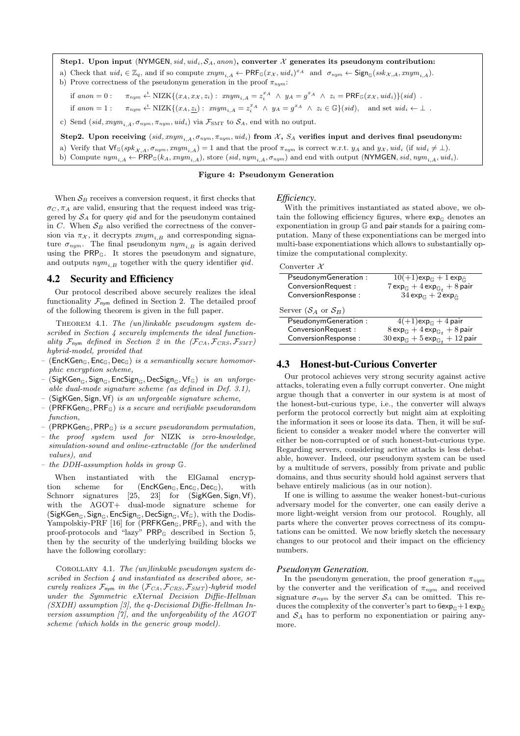Step1. Upon input (NYMGEN, sid, uid<sub>i</sub>,  $S_A$ , anon), converter X generates its pseudonym contribution: a) Check that  $uid_i \in \mathbb{Z}_q$ , and if so compute  $xnym_{i,A} \leftarrow \textsf{PRF}_{\mathbb{G}}(x_{\mathcal{X}},uid_i)^{x_A}$  and  $\sigma_{nym} \leftarrow \textsf{Sign}_{\mathbb{G}}(ssk_{\mathcal{X},\mathcal{A}},xnym_{i,A}).$ b) Prove correctness of the pseudonym generation in the proof  $\pi_{num}$ : if anon = 0:  $\pi_{nym} \stackrel{\text{g}}{\leftarrow} \text{NIZK}\{(x_A, x_{X}, z_i) : \ x_n y_{A_i} = z_i^{x_A} \land y_A = g^{x_A} \land z_i = \text{PRF}_{\mathbb{G}}(x_{X}, \text{uid}_i)\}(sid)$ . if  $anon = 1:$   $\pi_{nym} \stackrel{s}{\leftarrow} \text{NIZK}\{(x_A, \underline{z_i}) : \ xnym_{i,A} = z_i^{x_A} \land y_A = g^{x_A} \land z_i \in \mathbb{G}\}(sid),$  and set  $uid_i \leftarrow \perp$ .

c) Send (sid, xnym<sub>i</sub>,  $\sigma_{num}$ ,  $\pi_{num}$ , uid<sub>i</sub>) via  $\mathcal{F}_{SMT}$  to  $\mathcal{S}_{A}$ , end with no output.

Step2. Upon receiving  $(sid, mym_{i,A}, \sigma_{nym}, \pi_{nym}, uid_i)$  from X,  $S_A$  verifies input and derives final pseudonym:

a) Verify that  $\mathsf{Vf}_{\mathbb{G}}(spk_{\mathcal{X},A}, \sigma_{sym}, xnym_{i,A}) = 1$  and that the proof  $\pi_{nym}$  is correct w.r.t.  $y_A$  and  $y_X$ ,  $uid_i$  (if  $uid_i \neq \perp$ ). b) Compute  $nym_{i,A} \leftarrow \text{PRP}_{\mathbb{G}}(k_A, nym_{i,A}),$  store  $(\text{sid}, nym_{i,A}, \sigma_{nym})$  and end with output (NYMGEN, sid,  $nym_{i,A}, \text{uid}_i$ ).

#### Figure 4: Pseudonym Generation

When  $S_B$  receives a conversion request, it first checks that  $\sigma_C$ ,  $\pi_A$  are valid, ensuring that the request indeed was triggered by  $S_A$  for query  $qid$  and for the pseudonym contained in C. When  $S_B$  also verified the correctness of the conversion via  $\pi_{\mathcal{X}}$ , it decrypts  $xnym_{i,B}$  and corresponding signature  $\sigma_{num}$ . The final pseudonym  $nym_{i,B}$  is again derived using the PRPG. It stores the pseudonym and signature, and outputs  $nym_{i,B}$  together with the query identifier qid.

#### 4.2 Security and Efficiency

Our protocol described above securely realizes the ideal functionality  $\mathcal{F}_{\text{nym}}$  defined in Section 2. The detailed proof of the following theorem is given in the full paper.

THEOREM 4.1. The  $(un)linkable$  pseudonym system described in Section 4 securely implements the ideal functionality  $\mathcal{F}_{\text{nym}}$  defined in Section 2 in the  $(\mathcal{F}_{CA}, \mathcal{F}_{CRS}, \mathcal{F}_{SMT})$ hybrid-model, provided that

- (EncKGen<sub>G</sub>, Enc<sub>G</sub>, Dec<sub>G</sub>) is a semantically secure homomorphic encryption scheme,
- $(SigKGen_{\mathbb{G}}, Sign_{\mathbb{G}}, EncSign_{\mathbb{G}}, DecSign_{\mathbb{G}}, Vf_{\mathbb{G}})$  is an unforgeable dual-mode signature scheme (as defined in Def. 3.1),
- (SigKGen, Sign, Vf) is an unforgeable signature scheme,
- $(PRFKGen<sub>G</sub>, PRF<sub>G</sub>)$  is a secure and verifiable pseudorandom function,
- (PRPKGen $\epsilon$ , PRP $\epsilon$ ) is a secure pseudorandom permutation.
- the proof system used for NIZK is zero-knowledge, simulation-sound and online-extractable (for the underlined values), and
- the DDH-assumption holds in group G.

When instantiated with the ElGamal encryption scheme for  $(EncKGen_{\mathbb{G}}, Enc_{\mathbb{G}}, Dec_{\mathbb{G}}),$  with Schnorr signatures [25, 23] for (SigKGen, Sign, Vf), with the AGOT+ dual-mode signature scheme for  $(SigKGen_{\mathbb{G}}, Sign_{\mathbb{G}}, EncSign_{\mathbb{G}}, DecSign_{\mathbb{G}}, Vf_{\mathbb{G}}),$  with the  $Dodis-$ Yampolskiy-PRF [16] for (PRFKGen $_{\mathbb{G}}$ , PRF $_{\mathbb{G}}$ ), and with the proof-protocols and "lazy" PRP<sup>G</sup> described in Section 5, then by the security of the underlying building blocks we have the following corollary:

COROLLARY 4.1. The  $(un)linkable$  pseudonym system described in Section 4 and instantiated as described above, securely realizes  $\mathcal{F}_{\text{nym}}$  in the  $(\mathcal{F}_{CA}, \mathcal{F}_{CRS}, \mathcal{F}_{SMT})$ -hybrid model under the Symmetric eXternal Decision Diffie-Hellman (SXDH) assumption [3], the q-Decisional Diffie-Hellman Inversion assumption [7], and the unforgeability of the AGOT scheme (which holds in the generic group model).

#### *Efficiency.*

With the primitives instantiated as stated above, we obtain the following efficiency figures, where  $exp<sub>G</sub>$  denotes an exponentiation in group G and pair stands for a pairing computation. Many of these exponentiations can be merged into multi-base exponentiations which allows to substantially optimize the computational complexity.

#### Converter  $\mathcal X$

| PseudonymGeneration:           | $\overline{10(+1)}$ exp <sub><math>\mathbb{G}</math></sub> + 1 exp $\tilde{\mathbb{G}}$ |
|--------------------------------|-----------------------------------------------------------------------------------------|
| ConversionRequest:             | $7 \exp_{\mathbb{G}_t} + 4 \exp_{\mathbb{G}_t} + 8 \text{ pair}$                        |
| ConversionResponse:            | $34 \exp_{\mathbb{G}} + 2 \exp_{\tilde{\mathbb{G}}}$                                    |
| Server $(S_A \text{ or } S_B)$ |                                                                                         |
| PseudonymGeneration:           | $4(+1)$ exp <sub><math>\mathbb{G}</math></sub> + 4 pair                                 |
| ConversionRequest:             | $8 \exp_{\mathbb{G}} + 4 \exp_{\mathbb{G}_t} + 8 \text{ pair}$                          |
| ConversionResponse:            | $30 \exp_{\mathbb{G}} + 5 \exp_{\mathbb{G}_t} + 12 \text{ pair}$                        |

# 4.3 Honest-but-Curious Converter

Our protocol achieves very strong security against active attacks, tolerating even a fully corrupt converter. One might argue though that a converter in our system is at most of the honest-but-curious type, i.e., the converter will always perform the protocol correctly but might aim at exploiting the information it sees or loose its data. Then, it will be sufficient to consider a weaker model where the converter will either be non-corrupted or of such honest-but-curious type. Regarding servers, considering active attacks is less debatable, however. Indeed, our pseudonym system can be used by a multitude of servers, possibly from private and public domains, and thus security should hold against servers that behave entirely malicious (as in our notion).

If one is willing to assume the weaker honest-but-curious adversary model for the converter, one can easily derive a more light-weight version from our protocol. Roughly, all parts where the converter proves correctness of its computations can be omitted. We now briefly sketch the necessary changes to our protocol and their impact on the efficiency numbers.

## *Pseudonym Generation.*

In the pseudonym generation, the proof generation  $\pi_{num}$ by the converter and the verification of  $\pi_{nym}$  and received signature  $\sigma_{nym}$  by the server  $S_A$  can be omitted. This reduces the complexity of the converter's part to  $6exp_{\mathbb{C}}+1 exp_{\mathbb{C}}$ and  $S_A$  has to perform no exponentiation or pairing anymore.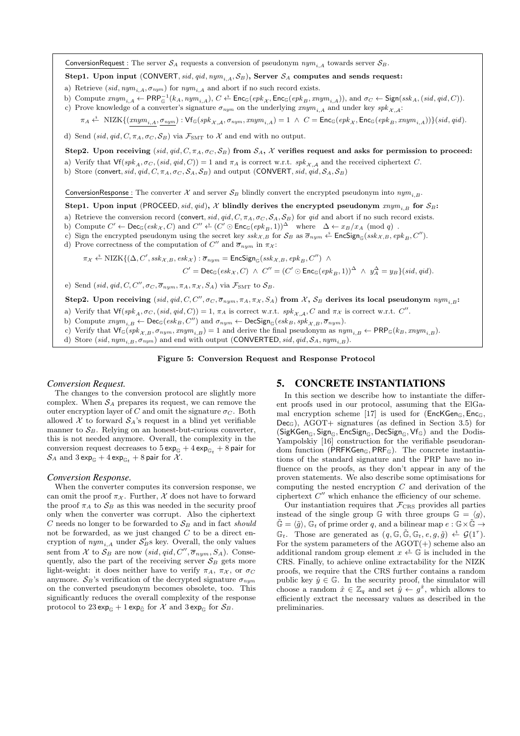ConversionRequest : The server  $S_A$  requests a conversion of pseudonym  $nym_{iA}$  towards server  $S_B$ .

Step1. Upon input (CONVERT, sid, qid, ny $m_{i,A}$ ,  $S_B$ ), Server  $S_A$  computes and sends request:

- a) Retrieve (sid,  $nym_{i,A}$ ,  $\sigma_{nym}$ ) for  $nym_{i,A}$  and abort if no such record exists.
- b) Compute  $\text{tr}m_{i,A} \leftarrow \textsf{PRP}_{\mathbb{G}}^{-1}(k_A, \text{sym}_{i,A}), C \leftarrow \textsf{Enc}_{\mathbb{G}}(\text{epk}_{\mathcal{X}}, \textsf{Enc}_{\mathbb{G}}(\text{epk}_B, \text{tr}m_{i,A})), \text{ and } \sigma_C \leftarrow \textsf{Sign}(\text{ssk}_A, (\text{sid}, \text{qid}, C)).$ c) Prove knowledge of a converter's signature  $\sigma_{nym}$  on the underlying  $xnym_{i,A}$  and under key  $spk_{\mathcal{X},\mathcal{A}}$ :
	- $\pi_A \stackrel{\hspace{0.1em}\mathsf{\scriptscriptstyle\$}}{\leftarrow} \text{NIZK}\{(xnym_{i,A},\sigma_{nym}): \mathsf{Vf}_{\mathbb{G}}(spk_{\mathcal{X},\mathcal{A}},\sigma_{nym},xnym_{i,A})=1 \;\wedge\; C=\mathsf{Enc}_{\mathbb{G}}(epk_{\mathcal{X}},\mathsf{Enc}_{\mathbb{G}}(epk_{B},xnym_{i,A}))\}(sid,qid).$

d) Send (sid, qid, C,  $\pi_A$ ,  $\sigma_C$ ,  $\mathcal{S}_B$ ) via  $\mathcal{F}_{SMT}$  to X and end with no output.

Step2. Upon receiving (sid, qid, C,  $\pi_A$ ,  $\sigma_C$ ,  $S_B$ ) from  $S_A$ , X verifies request and asks for permission to proceed:

- a) Verify that  $\mathsf{Vf}(spk_A, \sigma_C, (sid, qid, C)) = 1$  and  $\pi_A$  is correct w.r.t.  $spk_{\mathcal{X},\mathcal{A}}$  and the received ciphertext C.
- b) Store (convert, sid, qid, C,  $\pi_A$ ,  $\sigma_C$ ,  $S_A$ ,  $S_B$ ) and output (CONVERT, sid, qid,  $S_A$ ,  $S_B$ )

ConversionResponse : The converter X and server  $S_B$  blindly convert the encrypted pseudonym into  $nym_{i,B}$ .

Step1. Upon input (PROCEED, sid, qid), X blindly derives the encrypted pseudonym  $xnym_{i,B}$  for  $S_B$ :

- a) Retrieve the conversion record (convert, sid, qid, C,  $\pi_A$ ,  $\sigma_C$ ,  $S_A$ ,  $S_B$ ) for qid and abort if no such record exists.
- b) Compute  $C' \leftarrow \mathsf{Dec}_{\mathbb{G}}(esk_{\mathcal{X}}, C)$  and  $C'' \leftarrow (C' \odot \mathsf{Enc}_{\mathbb{G}}(epk_{B}, 1))^{\Delta}$  where  $\Delta \leftarrow x_{B}/x_{A} \pmod{q}$ .
- c) Sign the encrypted pseudonym using the secret key  $ssk_{\mathcal{X},B}$  for  $\mathcal{S}_B$  as  $\overline{\sigma}_{nym} \overset{\hspace{0.1em}\mathcal{X}}{\leftarrow}$  EncSign<sub>G</sub>(ssk  $\chi, B$ , epk  $_B, C'$ ).
- d) Prove correctness of the computation of  $C''$  and  $\overline{\sigma}_{nym}$  in  $\pi_{\mathcal{X}}$ :
	- $\pi_{\mathcal{X}} \xleftarrow{\$} \textrm{NIZK}\{(\Delta, C', \textrm{ssk}_{\mathcal{X},B}, \textrm{esk}_{\mathcal{X}}) : \overline{\sigma}_{nym} = \mathsf{EncSign}_{\mathbb{G}}( \textrm{ssk}_{\mathcal{X},B}, \textrm{epk}_{B}, C'') \; \wedge \;$

 $C' = \mathsf{Dec}_{\mathbb{G}}(esk_{\mathcal{X}}, C) \ \wedge \ C'' = (C' \odot \mathsf{Enc}_{\mathbb{G}}(epk_{B}, 1))^{\Delta} \ \wedge \ y_{A}^{\Delta} = y_{B}\}(sid, qid).$ 

e) Send (sid, qid, C, C'',  $\sigma_C$ ,  $\overline{\sigma}_{num}$ ,  $\pi_A$ ,  $\pi_{\mathcal{X}}$ ,  $S_A$ ) via  $\mathcal{F}_{SMT}$  to  $\mathcal{S}_B$ .

Step2. Upon receiving  $(sid, qid, C, C'', \sigma_C, \overline{\sigma}_{nym}, \pi_A, \pi_X, S_A)$  from X,  $S_B$  derives its local pseudonym  $nym_{i,B}$ :

a) Verify that  $\mathsf{Vf}(spk_A, \sigma_C, (sid, qid, C)) = 1, \pi_A$  is correct w.r.t.  $spk_{\mathcal{X}, \mathcal{A}}, C$  and  $\pi_{\mathcal{X}}$  is correct w.r.t.  $C''$ .

b) Compute  $\text{rnym}_{i,B} \leftarrow \text{Dec}_{\mathbb{G}}(\text{esk}_B, C'')$  and  $\sigma_{\text{rnym}} \leftarrow \text{DecSign}_{\mathbb{G}}(\text{esk}_B, \text{spk}_{\mathcal{X},B}, \overline{\sigma}_{\text{rnym}}).$ 

c) Verify that  $\mathsf{Vf}_{\mathbb{G}}(spk_{\mathcal{X},B}, \sigma_{nym}, xnym_{i,B}) = 1$  and derive the final pseudonym as  $nym_{i,B} \leftarrow \mathsf{PRP}_{\mathbb{G}}(k_B, xnym_{i,B})$ .

d) Store (sid,  $nym_{i,B}$ ,  $\sigma_{nym}$ ) and end with output (CONVERTED, sid, qid,  $S_A$ ,  $nym_{i,B}$ ).

## Figure 5: Conversion Request and Response Protocol

# *Conversion Request.*

The changes to the conversion protocol are slightly more complex. When  $S_A$  prepares its request, we can remove the outer encryption layer of C and omit the signature  $\sigma_C$ . Both allowed  $X$  to forward  $S_A$ 's request in a blind yet verifiable manner to  $S_B$ . Relying on an honest-but-curious converter, this is not needed anymore. Overall, the complexity in the conversion request decreases to  $5 \exp_{\mathbb{G}} + 4 \exp_{\mathbb{G}_t} + 8 \text{ pair for}$  $S_A$  and  $3 \exp_{\mathbb{G}} + 4 \exp_{\mathbb{G}_t} + 8 \text{ pair for } \mathcal{X}.$ 

#### *Conversion Response.*

When the converter computes its conversion response, we can omit the proof  $\pi_{\mathcal{X}}$ . Further,  $\mathcal X$  does not have to forward the proof  $\pi_A$  to  $S_B$  as this was needed in the security proof only when the converter was corrupt. Also the ciphertext  $C$  needs no longer to be forwarded to  $S_B$  and in fact should not be forwarded, as we just changed  $C$  to be a direct encryption of  $\textit{nym}_{i,A}$  under  $\mathcal{S}'_B$ s key. Overall, the only values sent from X to  $S_B$  are now (sid, qid, C'',  $\overline{\sigma}_{nym}$ , S<sub>A</sub>). Consequently, also the part of the receiving server  $S_B$  gets more light-weight: it does neither have to verify  $\pi_A$ ,  $\pi_X$ , or  $\sigma_C$ anymore.  $S_B$ 's verification of the decrypted signature  $\sigma_{num}$ on the converted pseudonym becomes obsolete, too. This significantly reduces the overall complexity of the response protocol to  $23 \exp_{\mathbb{G}} + 1 \exp_{\tilde{\mathbb{G}}}$  for  $\mathcal X$  and  $3 \exp_{\mathbb{G}}$  for  $\mathcal S_B$ .

# 5. CONCRETE INSTANTIATIONS

In this section we describe how to instantiate the different proofs used in our protocol, assuming that the ElGamal encryption scheme [17] is used for ( $EncKGen<sub>G</sub>, Enc<sub>G</sub>$ )  $Dec_G$ ), AGOT+ signatures (as defined in Section 3.5) for  $(SigKGen_{\mathbb{G}}, Sign_{\mathbb{G}}, EncSign_{\mathbb{G}}, DecSign_{\mathbb{G}}, Vf_{\mathbb{G}})$  and the Dodis-Yampolskiy [16] construction for the verifiable pseudorandom function (PRFKGen<sub>G</sub>, PRF<sub>G</sub>). The concrete instantiations of the standard signature and the PRP have no influence on the proofs, as they don't appear in any of the proven statements. We also describe some optimisations for computing the nested encryption  $C$  and derivation of the ciphertext  $C''$  which enhance the efficiency of our scheme.

Our instantiation requires that  $\mathcal{F}_{CRS}$  provides all parties instead of the single group G with three groups  $\mathbb{G} = \langle g \rangle$ ,  $\tilde{\mathbb{G}} = \langle \tilde{q} \rangle$ ,  $\mathbb{G}_t$  of prime order q, and a bilinear map  $e : \mathbb{G} \times \tilde{\mathbb{G}} \to$  $\mathbb{G}_t$ . Those are generated as  $(q, \mathbb{G}, \tilde{\mathbb{G}}, \mathbb{G}_t, e, g, \tilde{g}) \stackrel{\hspace{0.1em}\mathsf{\scriptscriptstyle\$}}{\leftarrow} \mathcal{G}(1^{\tau}).$ For the system parameters of the  $AGOT(+)$  scheme also an additional random group element  $x \stackrel{s}{\leftarrow} \mathbb{G}$  is included in the CRS. Finally, to achieve online extractability for the NIZK proofs, we require that the CRS further contains a random public key  $\hat{y} \in \mathbb{G}$ . In the security proof, the simulator will choose a random  $\hat{x} \in \mathbb{Z}_q$  and set  $\hat{y} \leftarrow g^{\hat{x}}$ , which allows to efficiently extract the necessary values as described in the preliminaries.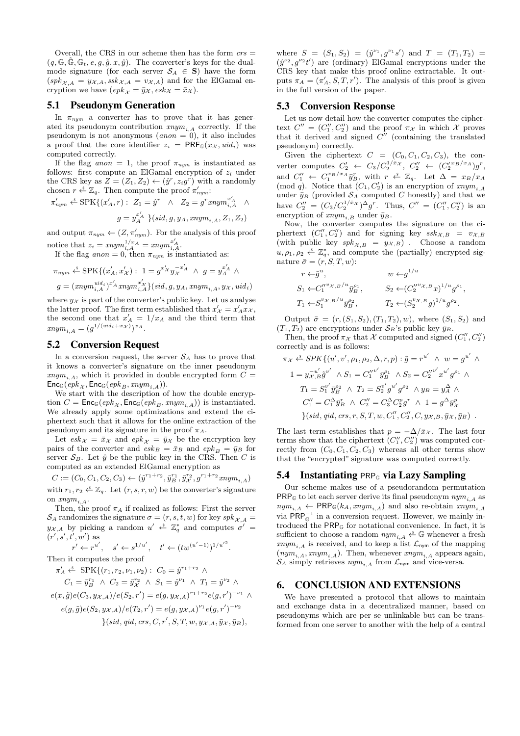Overall, the CRS in our scheme then has the form  $\operatorname{crs} =$  $(q, \mathbb{G}, \tilde{\mathbb{G}}, \mathbb{G}_t, e, g, \tilde{g}, x, \hat{y})$ . The converter's keys for the dualmode signature (for each server  $S_A \in S$ ) have the form  $(spk_{\mathcal{X},A} = y_{\mathcal{X},A}, ssk_{\mathcal{X},A} = v_{\mathcal{X},A})$  and for the ElGamal encryption we have  $\left(\mathit{epk}_{\mathcal{X}} = \bar{y}_{\mathcal{X}}, \mathit{esk}_{\mathcal{X}} = \bar{x}_{\mathcal{X}}\right)$ .

## 5.1 Pseudonym Generation

In  $\pi_{num}$  a converter has to prove that it has generated its pseudonym contribution  $xnym_{i,A}$  correctly. If the pseudonym is not anonymous  $(anon = 0)$ , it also includes a proof that the core identifier  $z_i = PRF_{\mathbb{G}}(x_{\mathcal{X}}, \text{uid}_i)$  was computed correctly.

If the flag anon = 1, the proof  $\pi_{nym}$  is instantiated as follows: first compute an ElGamal encryption of  $z_i$  under the CRS key as  $Z = (Z_1, Z_2) \leftarrow (\hat{y}^r, z_i g^r)$  with a randomly chosen  $r \stackrel{\hspace{0.1em}\mathsf{\scriptscriptstyle\$}}{\leftarrow} \mathbb{Z}_q$ . Then compute the proof  $\pi'_{\hspace{0.3em} nym}$ :

$$
\pi'_{nym} \stackrel{\hspace{0.1em}\mathsf{\scriptscriptstyle\$}}{\leftarrow} \mathrm{SPK}\{(x'_A, r): \ Z_1 = \hat{y}^r \ \wedge \ Z_2 = g^r x n y m_{i, A}^{x'_A} \ \wedge \ \ g = y_A^{x'_A} \} (sid, g, y_A, x n y m_{i, A}, Z_1, Z_2)
$$

and output  $\pi_{\textit{nym}} \leftarrow (Z, \pi'_{\textit{nym}})$ . For the analysis of this proof notice that  $z_i = xnym_{i,A}^{1/x_A} = xnym_{i,A}^{x'_A}$ .

If the flag anon = 0, then  $\pi_{num}$  is instantiated as:

$$
\pi_{nym} \stackrel{\ast}{\leftarrow} \text{SPK}\{(x'_A, x'_A) : 1 = g^{x'_A} y_A^{-x'_A} \land g = y_A^{x'_A} \land g = (xnym_{i,A}^{uid_i})^{x'_A} xnym_{i,A}^{x'_A}\} (sid, g, y_A, xnym_{i,A}, y_A, uid_i)
$$

where  $y_{\mathcal{X}}$  is part of the converter's public key. Let us analyse the latter proof. The first term established that  $x'_{\mathcal{X}} = x'_{A} x_{\mathcal{X}}$ , the second one that  $x'_A = 1/x_A$  and the third term that  $xnym_{i,A} = (g^{1/(uid_i+x_{\mathcal{X}})})^{xA}.$ 

# 5.2 Conversion Request

In a conversion request, the server  $S_A$  has to prove that it knows a converter's signature on the inner pseudonym  $xnym<sub>i</sub>$ , which it provided in double encrypted form  $C =$  $\mathsf{Enc}_{\mathbb{G}}(\mathit{epk}_X, \mathsf{Enc}_{\mathbb{G}}(\mathit{epk}_B, \mathit{xnym}_{i,A})).$ 

We start with the description of how the double encryption  $C = \text{Enc}_{\mathbb{G}}(epk_{\mathcal{X}}, \text{Enc}_{\mathbb{G}}(epk_{B}, xnym_{i,A}))$  is instantiated. We already apply some optimizations and extend the ciphertext such that it allows for the online extraction of the pseudonym and its signature in the proof  $\pi_A.$ 

Let  $\operatorname{esk}_{\mathcal{X}} = \bar{x}_{\mathcal{X}}$  and  $\operatorname{epk}_{\mathcal{X}} = \bar{y}_{\mathcal{X}}$  be the encryption key pairs of the converter and  $\overline{esk}_B = \overline{x}_B$  and  $\overline{epk}_B = \overline{y}_B$  for server  $S_B$ . Let  $\hat{y}$  be the public key in the CRS. Then C is computed as an extended ElGamal encryption as

 $C := (C_0, C_1, C_2, C_3) \leftarrow (\hat{y}^{r_1+r_2}, \bar{y}_B^{r_1}, \bar{y}_\mathcal{X}^{r_2}, g^{r_1+r_2} \text{snym}_{i,\mathcal{A}})$ with  $r_1, r_2 \stackrel{s}{\leftarrow} \mathbb{Z}_q$ . Let  $(r, s, r, w)$  be the converter's signature on  $xnym_{i,A}$ .

Then, the proof  $\pi_A$  if realized as follows: First the server  $\mathcal{S}_A$  randomizes the signature  $\sigma = (r, s, t, w)$  for key  $spk_{\mathcal{X}, A} =$  $y_{\mathcal{X},A}$  by picking a random  $u' \stackrel{s}{\leftarrow} \mathbb{Z}_q^*$  and computes  $\sigma' =$  $(r', s', t', w')$  as

$$
r' \leftarrow r^{u'}, s' \leftarrow s^{1/u'}, t' \leftarrow (tw^{(u'-1)})^{1/u'^2}.
$$

Then it computes the proof

$$
\pi'_A \xleftarrow{\text{$s$}} \text{SPK}\{(r_1, r_2, \nu_1, \nu_2) : C_0 = \hat{y}^{r_1+r_2} \land
$$
  
\n
$$
C_1 = \bar{y}_B^{r_1} \land C_2 = \bar{y}_X^{r_2} \land S_1 = \hat{y}^{\nu_1} \land T_1 = \hat{y}^{\nu_2} \land
$$
  
\n
$$
e(x, \tilde{g})e(C_3, y_{\mathcal{X},A})/e(S_2, r') = e(g, y_{\mathcal{X},A})^{r_1+r_2}e(g, r')^{-\nu_1} \land
$$
  
\n
$$
e(g, \tilde{g})e(S_2, y_{\mathcal{X},A})/e(T_2, r') = e(g, y_{\mathcal{X},A})^{\nu_1}e(g, r')^{-\nu_2}
$$

$$
\} (sid, qid, crs, C, r', S, T, w, y_{\mathcal{X},A}, \bar{y}_{\mathcal{X}}, \bar{y}_{B}),
$$

where  $S = (S_1, S_2) = (\hat{y}^{\nu_1}, g^{\nu_1} s')$  and  $T = (T_1, T_2) =$  $(\hat{y}^{\nu_2}, g^{\nu_2}t')$  are (ordinary) ElGamal encryptions under the CRS key that make this proof online extractable. It outputs  $\pi_A = (\pi'_A, S, T, r')$ . The analysis of this proof is given in the full version of the paper.

## 5.3 Conversion Response

Let us now detail how the converter computes the ciphertext  $C'' = (C''_1, C''_2)$  and the proof  $\pi_{\mathcal{X}}$  in which  $\mathcal{X}$  proves that it derived and signed  $C^{\prime\prime}$  (containing the translated pseudonym) correctly.

Given the ciphertext  $C = (C_0, C_1, C_2, C_3)$ , the converter computes  $C'_2 \leftarrow C_3/C_2^{1/\bar{x}_{\mathcal{X}}}, C''_2 \leftarrow (C'_2^{x_B/x_A})g^r,$ and  $C''_1 \leftarrow C_1^{x_B/x_A} \bar{y}_B^r$ , with  $r \leftarrow \mathbb{Z}_q$ . Let  $\Delta = x_B/x_A$ (mod q). Notice that  $(C_1, C'_2)$  is an encryption of  $xnym_{i,A}$ under  $\bar{y}_B$  (provided  $S_A$  computed C honestly) and that we have  $C_2'' = (C_3/C_2^{1/\bar{x}_{\mathcal{X}}})^{\Delta} g^r$ . Thus,  $C'' = (C_1'', C_2'')$  is an encryption of  $xnym_{i,B}$  under  $\bar{y}_B$ .

Now, the converter computes the signature on the ciphertext  $(C''_1, C''_2)$  and for signing key  $ssk_{\mathcal{X},B} = v_{\mathcal{X},B}$ (with public key  $spk_{\mathcal{X},B} = y_{\mathcal{X},B}$ ). Choose a random  $u, \rho_1, \rho_2 \overset{\hspace{0.1em}\mathsf{\scriptscriptstyle\$}}{\leftarrow} \mathbb{Z}_q^*$ , and compute the (partially) encrypted signature  $\bar{\sigma} = (r, S, T, w)$ :

$$
r \leftarrow \tilde{g}^{u}, \qquad w \leftarrow g^{1/u}
$$
  
\n
$$
S_{1} \leftarrow C_{1}^{\prime \prime \prime \chi, B/u} \bar{y}_{B}^{\rho_{1}}, \qquad S_{2} \leftarrow (C_{2}^{\prime \prime \nu \chi, B} x)^{1/u} g^{\rho_{1}},
$$
  
\n
$$
T_{1} \leftarrow S_{1}^{v \chi, B/u} \bar{y}_{B}^{\rho_{2}}, \qquad T_{2} \leftarrow (S_{2}^{v \chi, B} g)^{1/u} g^{\rho_{2}}.
$$

Output  $\bar{\sigma} = (r, (S_1, S_2), (T_1, T_2), w)$ , where  $(S_1, S_2)$  and  $(T_1, T_2)$  are encryptions under  $S_B$ 's public key  $\bar{y}_B$ .

Then, the proof  $\pi_{\mathcal{X}}$  that  $\mathcal{X}$  computed and signed  $(C''_1, C''_2)$ correctly and is as follows:

$$
\pi_{\mathcal{X}} \xleftarrow{\$} SPK\{(u', v', \rho_1, \rho_2, \Delta, r, p) : \tilde{g} = r^{u'} \wedge w = g^{u'} \wedge
$$
  
\n
$$
1 = y_{\mathcal{X}, \mathcal{B}}^{-u'} \tilde{g}^{v'} \wedge S_1 = C_1''^{v'} \tilde{y}_{\mathcal{B}}^{\rho_1} \wedge S_2 = C_2''^{v'} x^{u'} g^{\rho_1} \wedge
$$
  
\n
$$
T_1 = S_1^{v'} \tilde{y}_{\mathcal{B}}^{\rho_2} \wedge T_2 = S_2^{v'} g^{u'} g^{\rho_2} \wedge y_{\mathcal{B}} = y_{\mathcal{A}}^{\Delta} \wedge
$$
  
\n
$$
C_1'' = C_1^{\Delta} \tilde{y}_{\mathcal{B}}^{\tau} \wedge C_2'' = C_3^{\Delta} C_2^{\rho} g^{\tau} \wedge 1 = g^{\Delta} \tilde{y}_{\mathcal{X}}^{\rho}
$$
  
\n
$$
\{(sid, qid, crs, r, S, T, w, C_1'', C_2'', C, y_{\mathcal{X}, \mathcal{B}}, \tilde{y}_{\mathcal{B}}) \ .
$$

The last term establishes that  $p = -\Delta/\bar{x}_{\mathcal{X}}$ . The last four terms show that the ciphertext  $(C''_1, C''_2)$  was computed correctly from  $(C_0, C_1, C_2, C_3)$  whereas all other terms show that the "encrypted" signature was computed correctly.

## 5.4 Instantiating PRP<sub>G</sub> via Lazy Sampling

Our scheme makes use of a pseudorandom permutation **PRP<sub>G</sub>** to let each server derive its final pseudonym  $nym_{i,A}$  as  $nym_{i,A} \leftarrow \textsf{PRP}_{\mathbb{G}}(k_A, nym_{i,A})$  and also re-obtain  $nym_{i,A}$ via  $\mathsf{PRP}_{\mathbb{G}}^{-1}$  in a conversion request. However, we mainly introduced the PRP<sup>G</sup> for notational convenience. In fact, it is sufficient to choose a random  $\mathit{nym}_{i,A} \overset{\hspace{0.1em}\mathsf{\scriptscriptstyle\$}}{\leftarrow} \mathbb{G}$  whenever a fresh  $xnym_{i,A}$  is received, and to keep a list  $\mathcal{L}_{\text{nym}}$  of the mapping  $(nym_{i,A}, xnym_{i,A})$ . Then, whenever  $xnym_{i,A}$  appears again,  $S_A$  simply retrieves  $nym_{i,A}$  from  $\mathcal{L}_{\text{nym}}$  and vice-versa.

#### 6. CONCLUSION AND EXTENSIONS

We have presented a protocol that allows to maintain and exchange data in a decentralized manner, based on pseudonyms which are per se unlinkable but can be transformed from one server to another with the help of a central